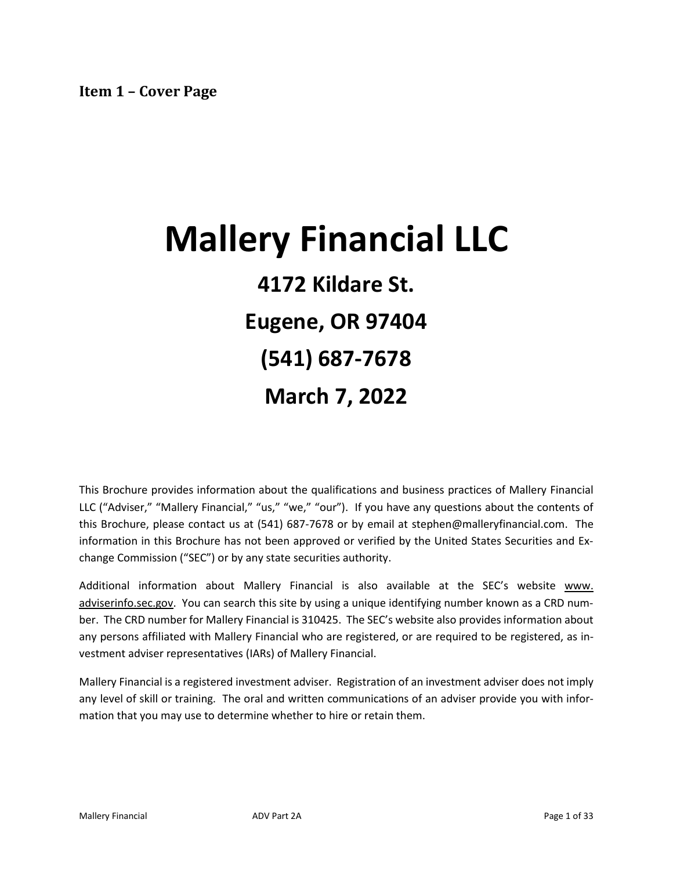# <span id="page-0-0"></span>**Mallery Financial LLC 4172 Kildare St. Eugene, OR 97404 (541) 687-7678 March 7, 2022**

This Brochure provides information about the qualifications and business practices of Mallery Financial LLC ("Adviser," "Mallery Financial," "us," "we," "our"). If you have any questions about the contents of this Brochure, please contact us at (541) 687-7678 or by email at stephen@malleryfinancial.com. The information in this Brochure has not been approved or verified by the United States Securities and Exchange Commission ("SEC") or by any state securities authority.

Additional information about Mallery Financial is also available at the SEC's website www. adviserinfo.sec.gov. You can search this site by using a unique identifying number known as a CRD number. The CRD number for Mallery Financial is 310425. The SEC's website also provides information about any persons affiliated with Mallery Financial who are registered, or are required to be registered, as investment adviser representatives (IARs) of Mallery Financial.

Mallery Financial is a registered investment adviser. Registration of an investment adviser does not imply any level of skill or training. The oral and written communications of an adviser provide you with information that you may use to determine whether to hire or retain them.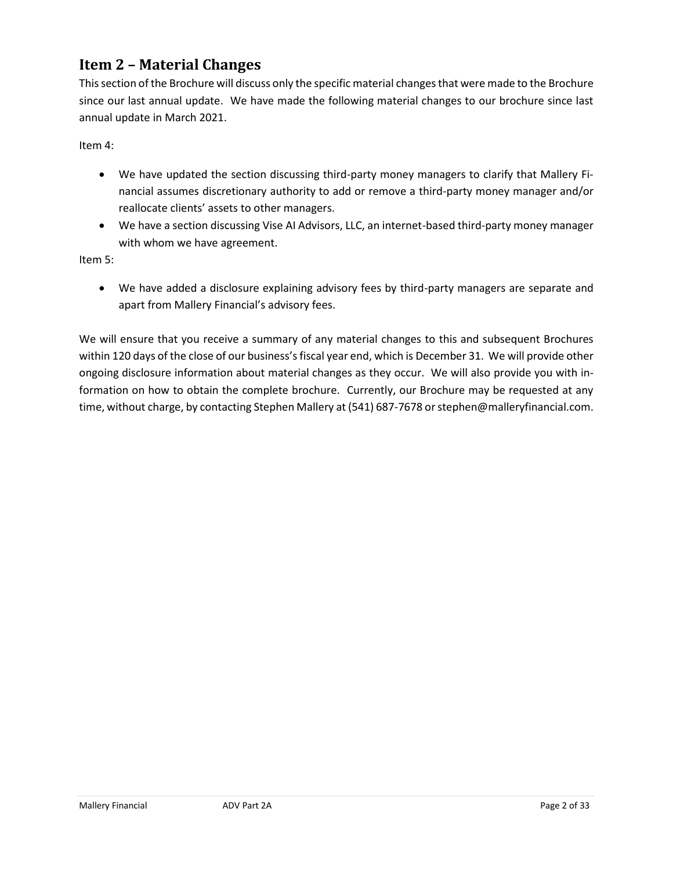### <span id="page-1-0"></span>**Item 2 – Material Changes**

This section of the Brochure will discuss only the specific material changes that were made to the Brochure since our last annual update. We have made the following material changes to our brochure since last annual update in March 2021.

Item 4:

- We have updated the section discussing third-party money managers to clarify that Mallery Financial assumes discretionary authority to add or remove a third-party money manager and/or reallocate clients' assets to other managers.
- We have a section discussing Vise AI Advisors, LLC, an internet-based third-party money manager with whom we have agreement.

Item 5:

• We have added a disclosure explaining advisory fees by third-party managers are separate and apart from Mallery Financial's advisory fees.

We will ensure that you receive a summary of any material changes to this and subsequent Brochures within 120 days of the close of our business's fiscal year end, which is December 31. We will provide other ongoing disclosure information about material changes as they occur. We will also provide you with information on how to obtain the complete brochure. Currently, our Brochure may be requested at any time, without charge, by contacting Stephen Mallery at (541) 687-7678 or stephen@malleryfinancial.com.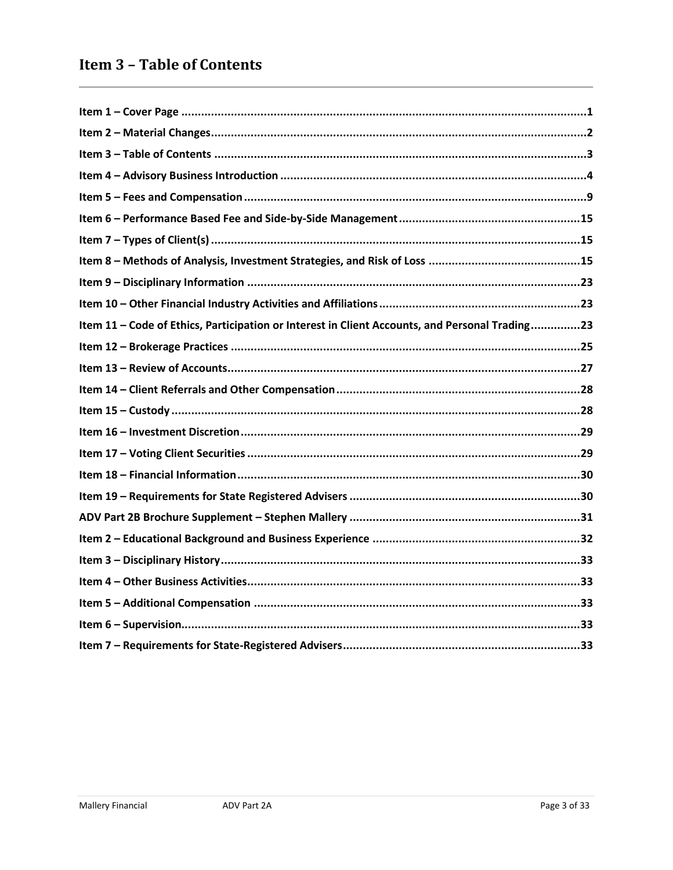<span id="page-2-0"></span>

| Item 11 - Code of Ethics, Participation or Interest in Client Accounts, and Personal Trading23 |
|------------------------------------------------------------------------------------------------|
|                                                                                                |
|                                                                                                |
|                                                                                                |
|                                                                                                |
|                                                                                                |
|                                                                                                |
|                                                                                                |
|                                                                                                |
|                                                                                                |
|                                                                                                |
|                                                                                                |
|                                                                                                |
|                                                                                                |
|                                                                                                |
|                                                                                                |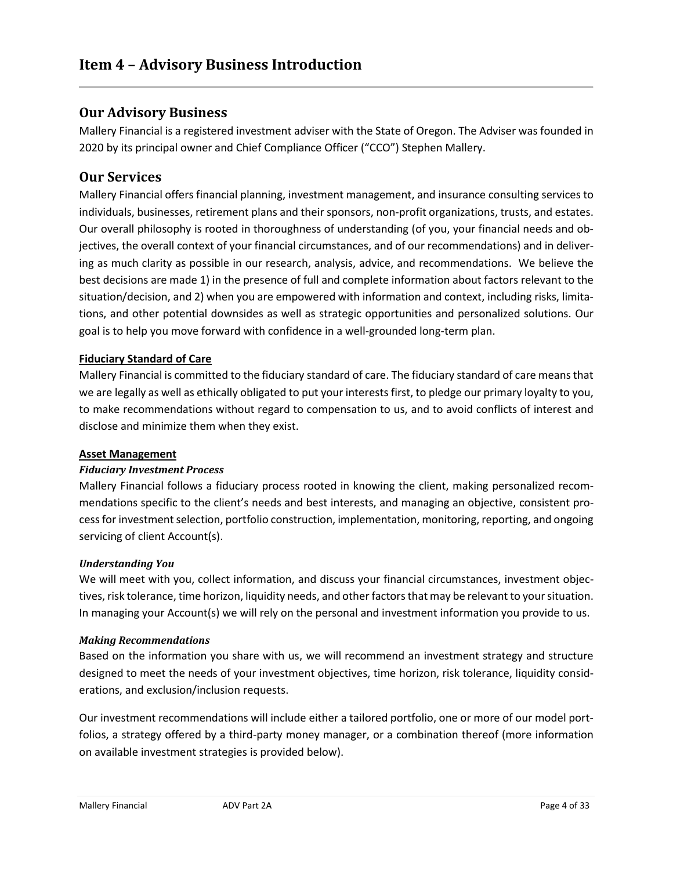### <span id="page-3-0"></span>**Our Advisory Business**

Mallery Financial is a registered investment adviser with the State of Oregon. The Adviser was founded in 2020 by its principal owner and Chief Compliance Officer ("CCO") Stephen Mallery.

#### **Our Services**

Mallery Financial offers financial planning, investment management, and insurance consulting services to individuals, businesses, retirement plans and their sponsors, non-profit organizations, trusts, and estates. Our overall philosophy is rooted in thoroughness of understanding (of you, your financial needs and objectives, the overall context of your financial circumstances, and of our recommendations) and in delivering as much clarity as possible in our research, analysis, advice, and recommendations. We believe the best decisions are made 1) in the presence of full and complete information about factors relevant to the situation/decision, and 2) when you are empowered with information and context, including risks, limitations, and other potential downsides as well as strategic opportunities and personalized solutions. Our goal is to help you move forward with confidence in a well-grounded long-term plan.

#### **Fiduciary Standard of Care**

Mallery Financial is committed to the fiduciary standard of care. The fiduciary standard of care means that we are legally as well as ethically obligated to put your interests first, to pledge our primary loyalty to you, to make recommendations without regard to compensation to us, and to avoid conflicts of interest and disclose and minimize them when they exist.

#### **Asset Management**

#### *Fiduciary Investment Process*

Mallery Financial follows a fiduciary process rooted in knowing the client, making personalized recommendations specific to the client's needs and best interests, and managing an objective, consistent process for investment selection, portfolio construction, implementation, monitoring, reporting, and ongoing servicing of client Account(s).

#### *Understanding You*

We will meet with you, collect information, and discuss your financial circumstances, investment objectives, risk tolerance, time horizon, liquidity needs, and other factors that may be relevant to your situation. In managing your Account(s) we will rely on the personal and investment information you provide to us.

#### *Making Recommendations*

Based on the information you share with us, we will recommend an investment strategy and structure designed to meet the needs of your investment objectives, time horizon, risk tolerance, liquidity considerations, and exclusion/inclusion requests.

Our investment recommendations will include either a tailored portfolio, one or more of our model portfolios, a strategy offered by a third-party money manager, or a combination thereof (more information on available investment strategies is provided below).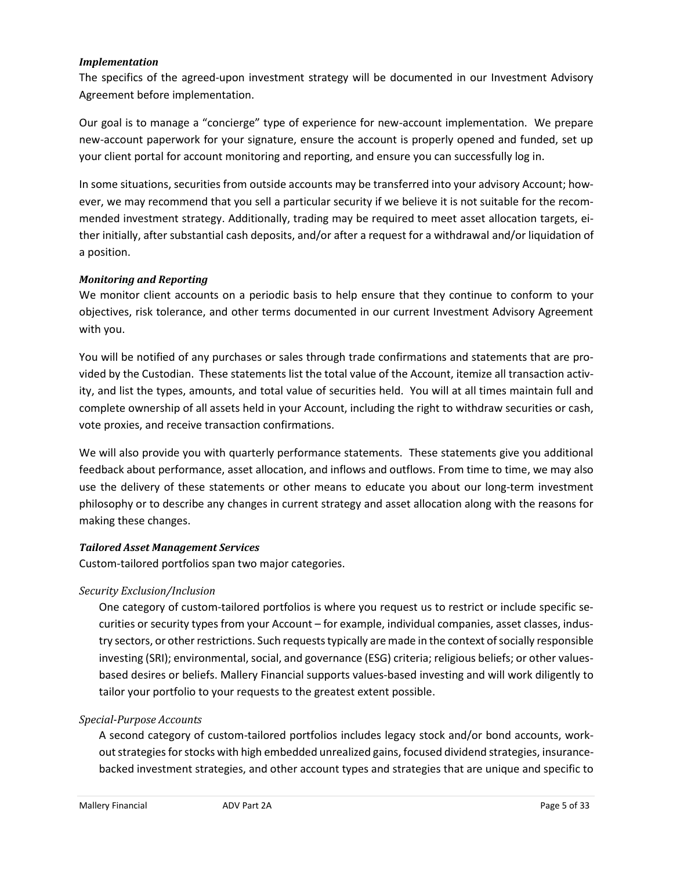#### *Implementation*

The specifics of the agreed-upon investment strategy will be documented in our Investment Advisory Agreement before implementation.

Our goal is to manage a "concierge" type of experience for new-account implementation. We prepare new-account paperwork for your signature, ensure the account is properly opened and funded, set up your client portal for account monitoring and reporting, and ensure you can successfully log in.

In some situations, securities from outside accounts may be transferred into your advisory Account; however, we may recommend that you sell a particular security if we believe it is not suitable for the recommended investment strategy. Additionally, trading may be required to meet asset allocation targets, either initially, after substantial cash deposits, and/or after a request for a withdrawal and/or liquidation of a position.

#### *Monitoring and Reporting*

We monitor client accounts on a periodic basis to help ensure that they continue to conform to your objectives, risk tolerance, and other terms documented in our current Investment Advisory Agreement with you.

You will be notified of any purchases or sales through trade confirmations and statements that are provided by the Custodian. These statements list the total value of the Account, itemize all transaction activity, and list the types, amounts, and total value of securities held. You will at all times maintain full and complete ownership of all assets held in your Account, including the right to withdraw securities or cash, vote proxies, and receive transaction confirmations.

We will also provide you with quarterly performance statements. These statements give you additional feedback about performance, asset allocation, and inflows and outflows. From time to time, we may also use the delivery of these statements or other means to educate you about our long-term investment philosophy or to describe any changes in current strategy and asset allocation along with the reasons for making these changes.

#### *Tailored Asset Management Services*

Custom-tailored portfolios span two major categories.

#### *Security Exclusion/Inclusion*

One category of custom-tailored portfolios is where you request us to restrict or include specific securities or security types from your Account – for example, individual companies, asset classes, industry sectors, or other restrictions. Such requests typically are made in the context of socially responsible investing (SRI); environmental, social, and governance (ESG) criteria; religious beliefs; or other valuesbased desires or beliefs. Mallery Financial supports values-based investing and will work diligently to tailor your portfolio to your requests to the greatest extent possible.

#### *Special-Purpose Accounts*

A second category of custom-tailored portfolios includes legacy stock and/or bond accounts, workout strategies for stocks with high embedded unrealized gains, focused dividend strategies, insurancebacked investment strategies, and other account types and strategies that are unique and specific to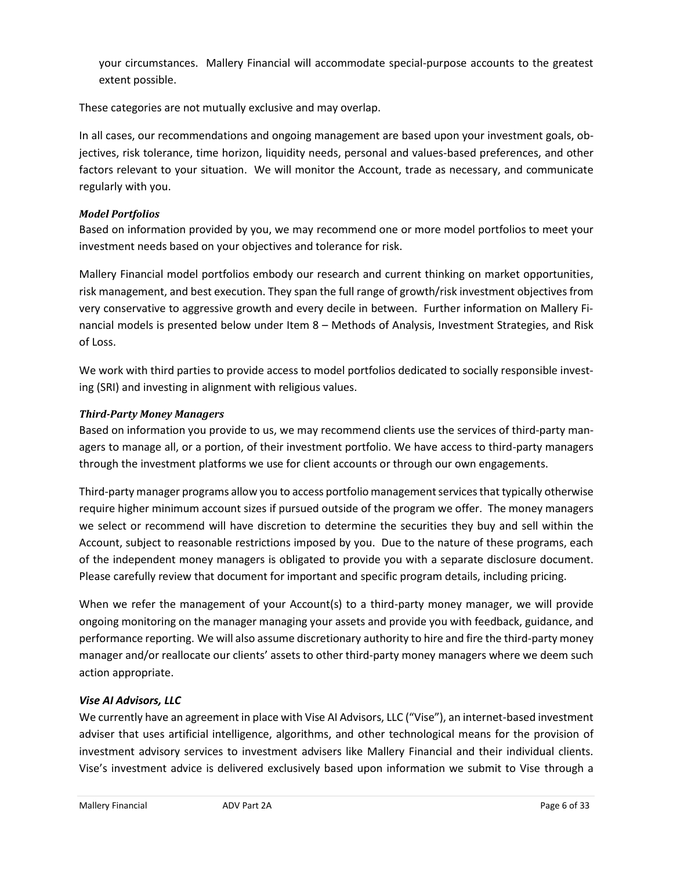your circumstances. Mallery Financial will accommodate special-purpose accounts to the greatest extent possible.

These categories are not mutually exclusive and may overlap.

In all cases, our recommendations and ongoing management are based upon your investment goals, objectives, risk tolerance, time horizon, liquidity needs, personal and values-based preferences, and other factors relevant to your situation. We will monitor the Account, trade as necessary, and communicate regularly with you.

#### *Model Portfolios*

Based on information provided by you, we may recommend one or more model portfolios to meet your investment needs based on your objectives and tolerance for risk.

Mallery Financial model portfolios embody our research and current thinking on market opportunities, risk management, and best execution. They span the full range of growth/risk investment objectives from very conservative to aggressive growth and every decile in between. Further information on Mallery Financial models is presented below under Item 8 – Methods of Analysis, Investment Strategies, and Risk of Loss.

We work with third parties to provide access to model portfolios dedicated to socially responsible investing (SRI) and investing in alignment with religious values.

#### *Third-Party Money Managers*

Based on information you provide to us, we may recommend clients use the services of third-party managers to manage all, or a portion, of their investment portfolio. We have access to third-party managers through the investment platforms we use for client accounts or through our own engagements.

Third-party manager programs allow you to access portfolio management services that typically otherwise require higher minimum account sizes if pursued outside of the program we offer. The money managers we select or recommend will have discretion to determine the securities they buy and sell within the Account, subject to reasonable restrictions imposed by you. Due to the nature of these programs, each of the independent money managers is obligated to provide you with a separate disclosure document. Please carefully review that document for important and specific program details, including pricing.

When we refer the management of your Account(s) to a third-party money manager, we will provide ongoing monitoring on the manager managing your assets and provide you with feedback, guidance, and performance reporting. We will also assume discretionary authority to hire and fire the third-party money manager and/or reallocate our clients' assets to other third-party money managers where we deem such action appropriate.

#### *Vise AI Advisors, LLC*

We currently have an agreement in place with Vise AI Advisors, LLC ("Vise"), an internet-based investment adviser that uses artificial intelligence, algorithms, and other technological means for the provision of investment advisory services to investment advisers like Mallery Financial and their individual clients. Vise's investment advice is delivered exclusively based upon information we submit to Vise through a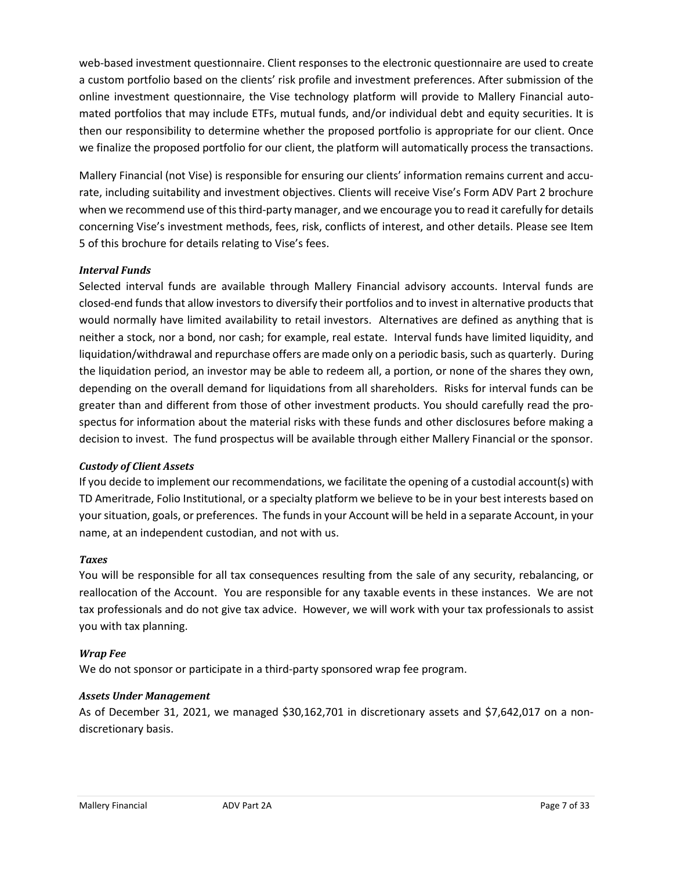web-based investment questionnaire. Client responses to the electronic questionnaire are used to create a custom portfolio based on the clients' risk profile and investment preferences. After submission of the online investment questionnaire, the Vise technology platform will provide to Mallery Financial automated portfolios that may include ETFs, mutual funds, and/or individual debt and equity securities. It is then our responsibility to determine whether the proposed portfolio is appropriate for our client. Once we finalize the proposed portfolio for our client, the platform will automatically process the transactions.

Mallery Financial (not Vise) is responsible for ensuring our clients' information remains current and accurate, including suitability and investment objectives. Clients will receive Vise's Form ADV Part 2 brochure when we recommend use of this third-party manager, and we encourage you to read it carefully for details concerning Vise's investment methods, fees, risk, conflicts of interest, and other details. Please see Item 5 of this brochure for details relating to Vise's fees.

#### *Interval Funds*

Selected interval funds are available through Mallery Financial advisory accounts. Interval funds are closed-end funds that allow investors to diversify their portfolios and to invest in alternative products that would normally have limited availability to retail investors. Alternatives are defined as anything that is neither a stock, nor a bond, nor cash; for example, real estate. Interval funds have limited liquidity, and liquidation/withdrawal and repurchase offers are made only on a periodic basis, such as quarterly. During the liquidation period, an investor may be able to redeem all, a portion, or none of the shares they own, depending on the overall demand for liquidations from all shareholders. Risks for interval funds can be greater than and different from those of other investment products. You should carefully read the prospectus for information about the material risks with these funds and other disclosures before making a decision to invest. The fund prospectus will be available through either Mallery Financial or the sponsor.

#### *Custody of Client Assets*

If you decide to implement our recommendations, we facilitate the opening of a custodial account(s) with TD Ameritrade, Folio Institutional, or a specialty platform we believe to be in your best interests based on your situation, goals, or preferences. The funds in your Account will be held in a separate Account, in your name, at an independent custodian, and not with us.

#### *Taxes*

You will be responsible for all tax consequences resulting from the sale of any security, rebalancing, or reallocation of the Account. You are responsible for any taxable events in these instances. We are not tax professionals and do not give tax advice. However, we will work with your tax professionals to assist you with tax planning.

#### *Wrap Fee*

We do not sponsor or participate in a third-party sponsored wrap fee program.

#### *Assets Under Management*

As of December 31, 2021, we managed \$30,162,701 in discretionary assets and \$7,642,017 on a nondiscretionary basis.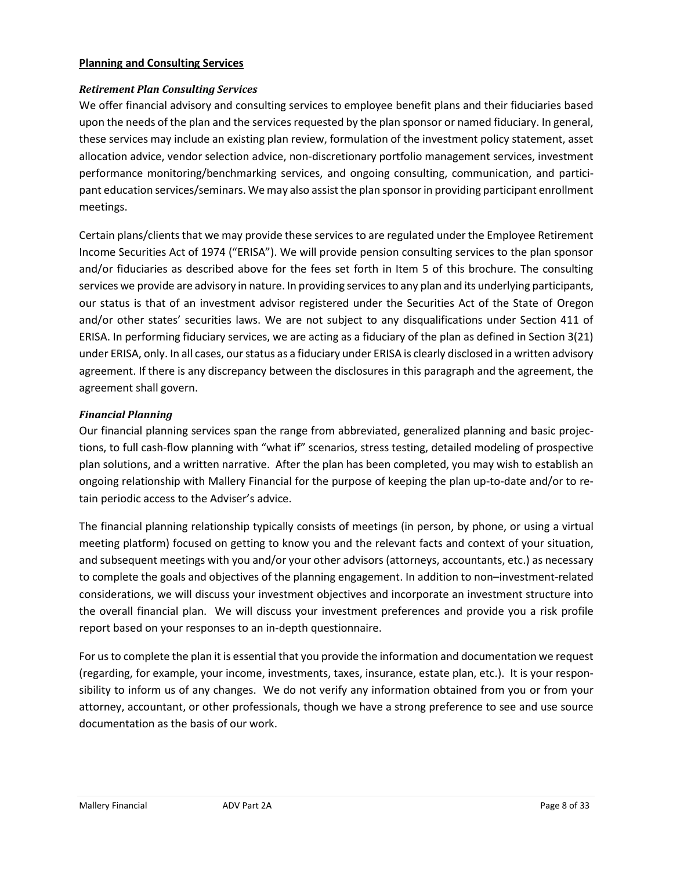#### **Planning and Consulting Services**

#### *Retirement Plan Consulting Services*

We offer financial advisory and consulting services to employee benefit plans and their fiduciaries based upon the needs of the plan and the services requested by the plan sponsor or named fiduciary. In general, these services may include an existing plan review, formulation of the investment policy statement, asset allocation advice, vendor selection advice, non-discretionary portfolio management services, investment performance monitoring/benchmarking services, and ongoing consulting, communication, and participant education services/seminars. We may also assist the plan sponsor in providing participant enrollment meetings.

Certain plans/clients that we may provide these services to are regulated under the Employee Retirement Income Securities Act of 1974 ("ERISA"). We will provide pension consulting services to the plan sponsor and/or fiduciaries as described above for the fees set forth in Item 5 of this brochure. The consulting services we provide are advisory in nature. In providing services to any plan and its underlying participants, our status is that of an investment advisor registered under the Securities Act of the State of Oregon and/or other states' securities laws. We are not subject to any disqualifications under Section 411 of ERISA. In performing fiduciary services, we are acting as a fiduciary of the plan as defined in Section 3(21) under ERISA, only. In all cases, our status as a fiduciary under ERISA is clearly disclosed in a written advisory agreement. If there is any discrepancy between the disclosures in this paragraph and the agreement, the agreement shall govern.

#### *Financial Planning*

Our financial planning services span the range from abbreviated, generalized planning and basic projections, to full cash-flow planning with "what if" scenarios, stress testing, detailed modeling of prospective plan solutions, and a written narrative. After the plan has been completed, you may wish to establish an ongoing relationship with Mallery Financial for the purpose of keeping the plan up-to-date and/or to retain periodic access to the Adviser's advice.

The financial planning relationship typically consists of meetings (in person, by phone, or using a virtual meeting platform) focused on getting to know you and the relevant facts and context of your situation, and subsequent meetings with you and/or your other advisors (attorneys, accountants, etc.) as necessary to complete the goals and objectives of the planning engagement. In addition to non–investment-related considerations, we will discuss your investment objectives and incorporate an investment structure into the overall financial plan. We will discuss your investment preferences and provide you a risk profile report based on your responses to an in-depth questionnaire.

For us to complete the plan it is essential that you provide the information and documentation we request (regarding, for example, your income, investments, taxes, insurance, estate plan, etc.). It is your responsibility to inform us of any changes. We do not verify any information obtained from you or from your attorney, accountant, or other professionals, though we have a strong preference to see and use source documentation as the basis of our work.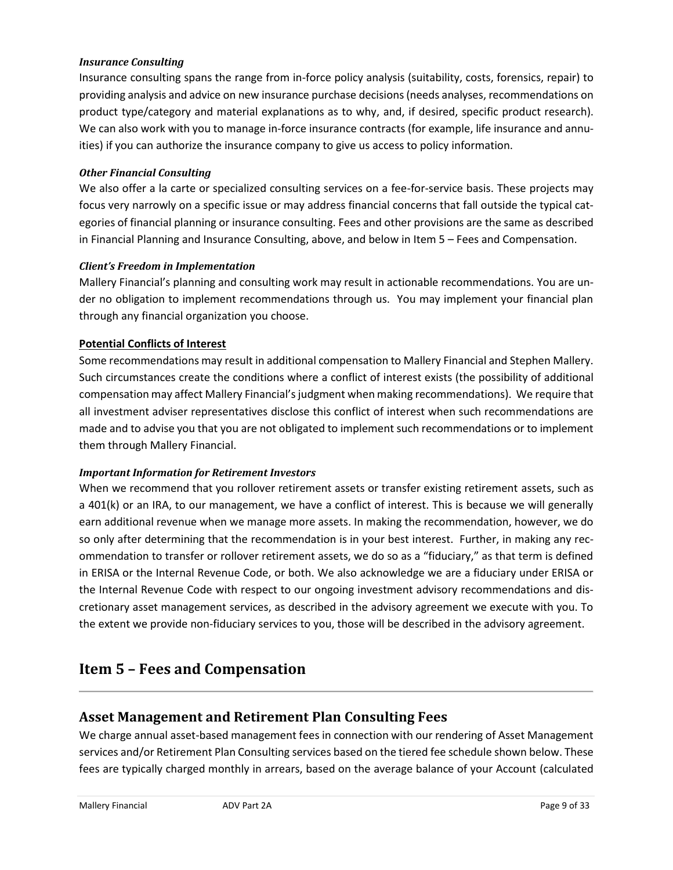#### *Insurance Consulting*

Insurance consulting spans the range from in-force policy analysis (suitability, costs, forensics, repair) to providing analysis and advice on new insurance purchase decisions (needs analyses, recommendations on product type/category and material explanations as to why, and, if desired, specific product research). We can also work with you to manage in-force insurance contracts (for example, life insurance and annuities) if you can authorize the insurance company to give us access to policy information.

#### *Other Financial Consulting*

We also offer a la carte or specialized consulting services on a fee-for-service basis. These projects may focus very narrowly on a specific issue or may address financial concerns that fall outside the typical categories of financial planning or insurance consulting. Fees and other provisions are the same as described in Financial Planning and Insurance Consulting, above, and below in Item 5 – Fees and Compensation.

#### *Client's Freedom in Implementation*

Mallery Financial's planning and consulting work may result in actionable recommendations. You are under no obligation to implement recommendations through us. You may implement your financial plan through any financial organization you choose.

#### **Potential Conflicts of Interest**

Some recommendations may result in additional compensation to Mallery Financial and Stephen Mallery. Such circumstances create the conditions where a conflict of interest exists (the possibility of additional compensation may affect Mallery Financial's judgment when making recommendations). We require that all investment adviser representatives disclose this conflict of interest when such recommendations are made and to advise you that you are not obligated to implement such recommendations or to implement them through Mallery Financial.

#### <span id="page-8-0"></span>*Important Information for Retirement Investors*

When we recommend that you rollover retirement assets or transfer existing retirement assets, such as a 401(k) or an IRA, to our management, we have a conflict of interest. This is because we will generally earn additional revenue when we manage more assets. In making the recommendation, however, we do so only after determining that the recommendation is in your best interest. Further, in making any recommendation to transfer or rollover retirement assets, we do so as a "fiduciary," as that term is defined in ERISA or the Internal Revenue Code, or both. We also acknowledge we are a fiduciary under ERISA or the Internal Revenue Code with respect to our ongoing investment advisory recommendations and discretionary asset management services, as described in the advisory agreement we execute with you. To the extent we provide non-fiduciary services to you, those will be described in the advisory agreement.

### **Item 5 – Fees and Compensation**

### **Asset Management and Retirement Plan Consulting Fees**

We charge annual asset-based management fees in connection with our rendering of Asset Management services and/or Retirement Plan Consulting services based on the tiered fee schedule shown below. These fees are typically charged monthly in arrears, based on the average balance of your Account (calculated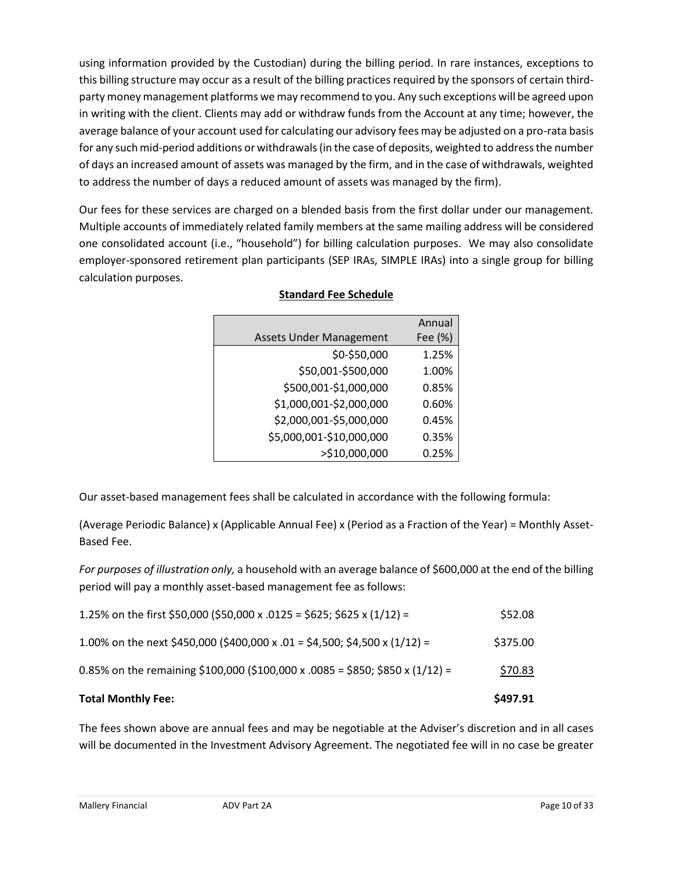using information provided by the Custodian) during the billing period. In rare instances, exceptions to this billing structure may occur as a result of the billing practices required by the sponsors of certain thirdparty money management platforms we may recommend to you. Any such exceptions will be agreed upon in writing with the client. Clients may add or withdraw funds from the Account at any time; however, the average balance of your account used for calculating our advisory fees may be adjusted on a pro-rata basis for any such mid-period additions or withdrawals (in the case of deposits, weighted to address the number of days an increased amount of assets was managed by the firm, and in the case of withdrawals, weighted to address the number of days a reduced amount of assets was managed by the firm).

Our fees for these services are charged on a blended basis from the first dollar under our management. Multiple accounts of immediately related family members at the same mailing address will be considered one consolidated account (i.e., "household") for billing calculation purposes. We may also consolidate employer-sponsored retirement plan participants (SEP IRAs, SIMPLE IRAs) into a single group for billing calculation purposes.

|                                | Annual  |
|--------------------------------|---------|
| <b>Assets Under Management</b> | Fee (%) |
| \$0-\$50,000                   | 1.25%   |
| \$50,001-\$500,000             | 1.00%   |
| \$500,001-\$1,000,000          | 0.85%   |
| \$1,000,001-\$2,000,000        | 0.60%   |
| \$2,000,001-\$5,000,000        | 0.45%   |
| \$5,000,001-\$10,000,000       | 0.35%   |
| >\$10,000,000                  | 0.25%   |

#### **Standard Fee Schedule**

Our asset-based management fees shall be calculated in accordance with the following formula:

(Average Periodic Balance) x (Applicable Annual Fee) x (Period as a Fraction of the Year) = Monthly Asset-Based Fee.

*For purposes of illustration only,* a household with an average balance of \$600,000 at the end of the billing period will pay a monthly asset-based management fee as follows:

| <b>Total Monthly Fee:</b>                                                     | \$497.91 |
|-------------------------------------------------------------------------------|----------|
| 0.85% on the remaining \$100,000 (\$100,000 x .0085 = \$850; \$850 x (1/12) = | \$70.83  |
| 1.00% on the next \$450,000 (\$400,000 x .01 = \$4,500; \$4,500 x (1/12) =    | \$375.00 |
| 1.25% on the first \$50,000 (\$50,000 x .0125 = \$625; \$625 x (1/12) =       | \$52.08  |

The fees shown above are annual fees and may be negotiable at the Adviser's discretion and in all cases will be documented in the Investment Advisory Agreement. The negotiated fee will in no case be greater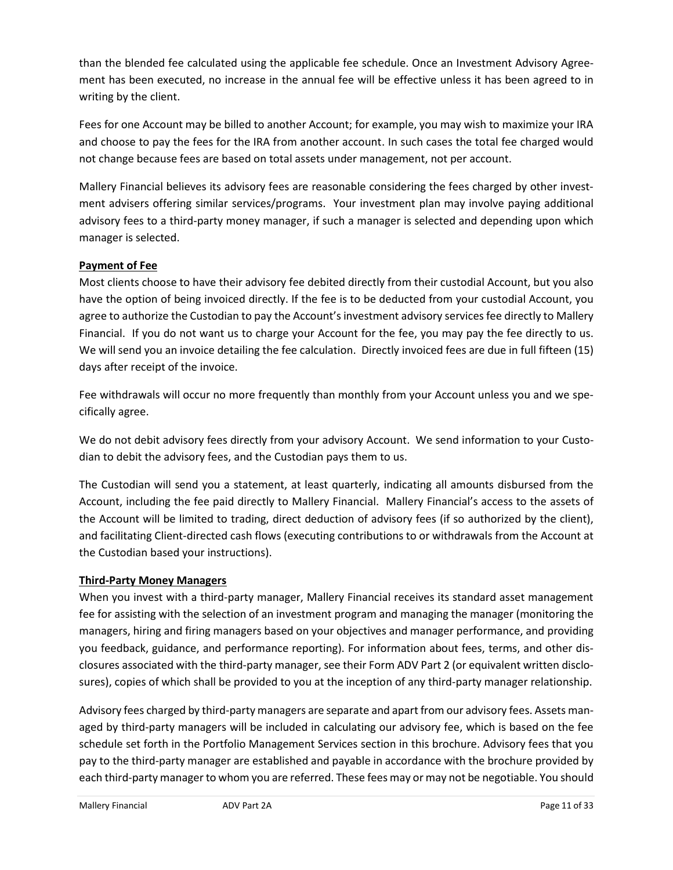than the blended fee calculated using the applicable fee schedule. Once an Investment Advisory Agreement has been executed, no increase in the annual fee will be effective unless it has been agreed to in writing by the client.

Fees for one Account may be billed to another Account; for example, you may wish to maximize your IRA and choose to pay the fees for the IRA from another account. In such cases the total fee charged would not change because fees are based on total assets under management, not per account.

Mallery Financial believes its advisory fees are reasonable considering the fees charged by other investment advisers offering similar services/programs. Your investment plan may involve paying additional advisory fees to a third-party money manager, if such a manager is selected and depending upon which manager is selected.

#### **Payment of Fee**

Most clients choose to have their advisory fee debited directly from their custodial Account, but you also have the option of being invoiced directly. If the fee is to be deducted from your custodial Account, you agree to authorize the Custodian to pay the Account's investment advisory services fee directly to Mallery Financial. If you do not want us to charge your Account for the fee, you may pay the fee directly to us. We will send you an invoice detailing the fee calculation. Directly invoiced fees are due in full fifteen (15) days after receipt of the invoice.

Fee withdrawals will occur no more frequently than monthly from your Account unless you and we specifically agree.

We do not debit advisory fees directly from your advisory Account. We send information to your Custodian to debit the advisory fees, and the Custodian pays them to us.

The Custodian will send you a statement, at least quarterly, indicating all amounts disbursed from the Account, including the fee paid directly to Mallery Financial. Mallery Financial's access to the assets of the Account will be limited to trading, direct deduction of advisory fees (if so authorized by the client), and facilitating Client-directed cash flows (executing contributions to or withdrawals from the Account at the Custodian based your instructions).

#### **Third-Party Money Managers**

When you invest with a third-party manager, Mallery Financial receives its standard asset management fee for assisting with the selection of an investment program and managing the manager (monitoring the managers, hiring and firing managers based on your objectives and manager performance, and providing you feedback, guidance, and performance reporting). For information about fees, terms, and other disclosures associated with the third-party manager, see their Form ADV Part 2 (or equivalent written disclosures), copies of which shall be provided to you at the inception of any third-party manager relationship.

Advisory fees charged by third-party managers are separate and apart from our advisory fees. Assets managed by third-party managers will be included in calculating our advisory fee, which is based on the fee schedule set forth in the Portfolio Management Services section in this brochure. Advisory fees that you pay to the third-party manager are established and payable in accordance with the brochure provided by each third-party manager to whom you are referred. These fees may or may not be negotiable. You should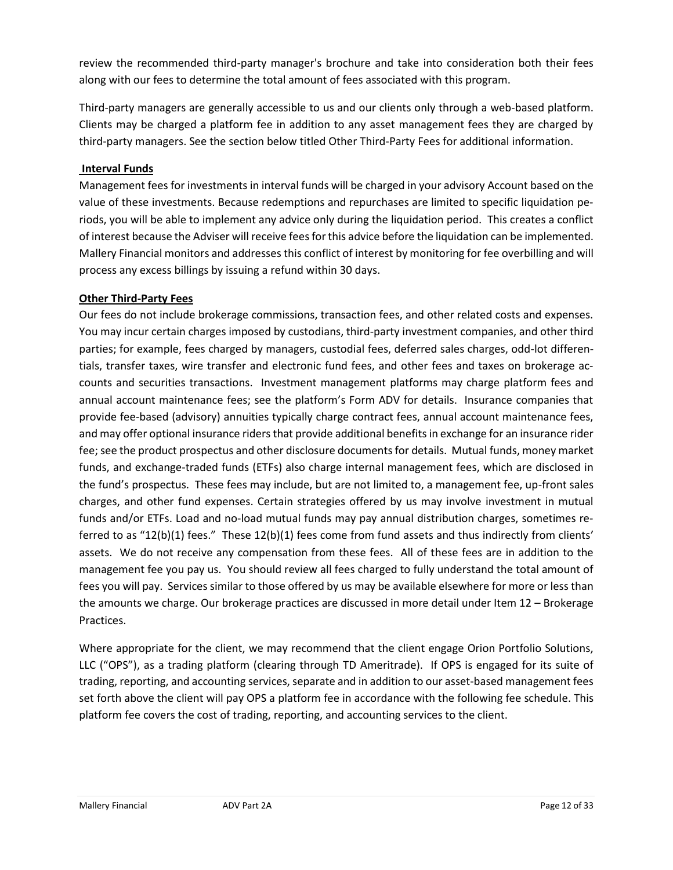review the recommended third-party manager's brochure and take into consideration both their fees along with our fees to determine the total amount of fees associated with this program.

Third-party managers are generally accessible to us and our clients only through a web-based platform. Clients may be charged a platform fee in addition to any asset management fees they are charged by third-party managers. See the section below titled Other Third-Party Fees for additional information.

#### **Interval Funds**

Management fees for investments in interval funds will be charged in your advisory Account based on the value of these investments. Because redemptions and repurchases are limited to specific liquidation periods, you will be able to implement any advice only during the liquidation period. This creates a conflict of interest because the Adviser will receive fees for this advice before the liquidation can be implemented. Mallery Financial monitors and addresses this conflict of interest by monitoring for fee overbilling and will process any excess billings by issuing a refund within 30 days.

#### **Other Third-Party Fees**

Our fees do not include brokerage commissions, transaction fees, and other related costs and expenses. You may incur certain charges imposed by custodians, third-party investment companies, and other third parties; for example, fees charged by managers, custodial fees, deferred sales charges, odd-lot differentials, transfer taxes, wire transfer and electronic fund fees, and other fees and taxes on brokerage accounts and securities transactions. Investment management platforms may charge platform fees and annual account maintenance fees; see the platform's Form ADV for details. Insurance companies that provide fee-based (advisory) annuities typically charge contract fees, annual account maintenance fees, and may offer optional insurance riders that provide additional benefits in exchange for an insurance rider fee; see the product prospectus and other disclosure documents for details. Mutual funds, money market funds, and exchange-traded funds (ETFs) also charge internal management fees, which are disclosed in the fund's prospectus. These fees may include, but are not limited to, a management fee, up-front sales charges, and other fund expenses. Certain strategies offered by us may involve investment in mutual funds and/or ETFs. Load and no-load mutual funds may pay annual distribution charges, sometimes referred to as "12(b)(1) fees." These 12(b)(1) fees come from fund assets and thus indirectly from clients' assets. We do not receive any compensation from these fees. All of these fees are in addition to the management fee you pay us. You should review all fees charged to fully understand the total amount of fees you will pay. Services similar to those offered by us may be available elsewhere for more or less than the amounts we charge. Our brokerage practices are discussed in more detail under Item 12 – Brokerage Practices.

Where appropriate for the client, we may recommend that the client engage Orion Portfolio Solutions, LLC ("OPS"), as a trading platform (clearing through TD Ameritrade). If OPS is engaged for its suite of trading, reporting, and accounting services, separate and in addition to our asset-based management fees set forth above the client will pay OPS a platform fee in accordance with the following fee schedule. This platform fee covers the cost of trading, reporting, and accounting services to the client.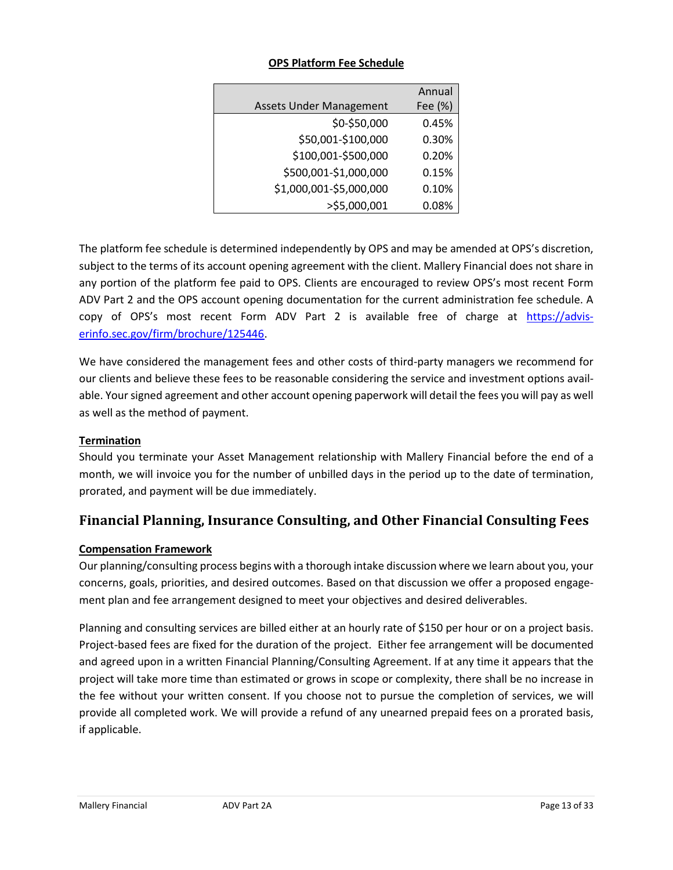|                                | Annual  |
|--------------------------------|---------|
| <b>Assets Under Management</b> | Fee (%) |
| \$0-\$50,000                   | 0.45%   |
| \$50,001-\$100,000             | 0.30%   |
| \$100,001-\$500,000            | 0.20%   |
| \$500,001-\$1,000,000          | 0.15%   |
| \$1,000,001-\$5,000,000        | 0.10%   |
| >\$5,000,001                   | 0.08%   |

#### **OPS Platform Fee Schedule**

The platform fee schedule is determined independently by OPS and may be amended at OPS's discretion, subject to the terms of its account opening agreement with the client. Mallery Financial does not share in any portion of the platform fee paid to OPS. Clients are encouraged to review OPS's most recent Form ADV Part 2 and the OPS account opening documentation for the current administration fee schedule. A copy of OPS's most recent Form ADV Part 2 is available free of charge at [https://advis](https://adviserinfo.sec.gov/firm/brochure/125446)[erinfo.sec.gov/firm/brochure/125446.](https://adviserinfo.sec.gov/firm/brochure/125446)

We have considered the management fees and other costs of third-party managers we recommend for our clients and believe these fees to be reasonable considering the service and investment options available. Your signed agreement and other account opening paperwork will detail the fees you will pay as well as well as the method of payment.

#### **Termination**

Should you terminate your Asset Management relationship with Mallery Financial before the end of a month, we will invoice you for the number of unbilled days in the period up to the date of termination, prorated, and payment will be due immediately.

### **Financial Planning, Insurance Consulting, and Other Financial Consulting Fees**

#### **Compensation Framework**

Our planning/consulting process begins with a thorough intake discussion where we learn about you, your concerns, goals, priorities, and desired outcomes. Based on that discussion we offer a proposed engagement plan and fee arrangement designed to meet your objectives and desired deliverables.

Planning and consulting services are billed either at an hourly rate of \$150 per hour or on a project basis. Project-based fees are fixed for the duration of the project. Either fee arrangement will be documented and agreed upon in a written Financial Planning/Consulting Agreement. If at any time it appears that the project will take more time than estimated or grows in scope or complexity, there shall be no increase in the fee without your written consent. If you choose not to pursue the completion of services, we will provide all completed work. We will provide a refund of any unearned prepaid fees on a prorated basis, if applicable.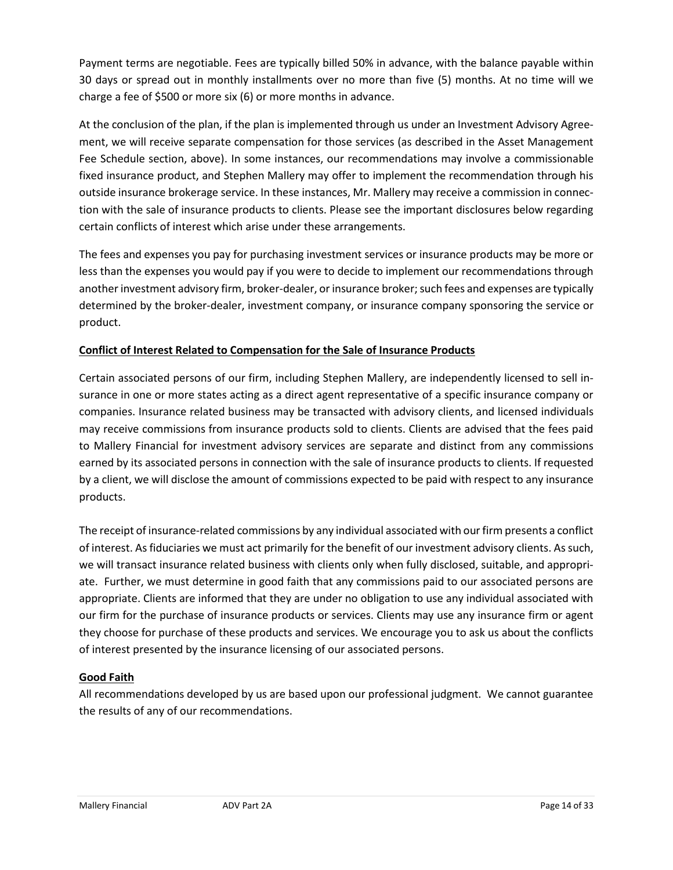Payment terms are negotiable. Fees are typically billed 50% in advance, with the balance payable within 30 days or spread out in monthly installments over no more than five (5) months. At no time will we charge a fee of \$500 or more six (6) or more months in advance.

At the conclusion of the plan, if the plan is implemented through us under an Investment Advisory Agreement, we will receive separate compensation for those services (as described in the Asset Management Fee Schedule section, above). In some instances, our recommendations may involve a commissionable fixed insurance product, and Stephen Mallery may offer to implement the recommendation through his outside insurance brokerage service. In these instances, Mr. Mallery may receive a commission in connection with the sale of insurance products to clients. Please see the important disclosures below regarding certain conflicts of interest which arise under these arrangements.

The fees and expenses you pay for purchasing investment services or insurance products may be more or less than the expenses you would pay if you were to decide to implement our recommendations through another investment advisory firm, broker-dealer, or insurance broker; such fees and expenses are typically determined by the broker-dealer, investment company, or insurance company sponsoring the service or product.

#### **Conflict of Interest Related to Compensation for the Sale of Insurance Products**

Certain associated persons of our firm, including Stephen Mallery, are independently licensed to sell insurance in one or more states acting as a direct agent representative of a specific insurance company or companies. Insurance related business may be transacted with advisory clients, and licensed individuals may receive commissions from insurance products sold to clients. Clients are advised that the fees paid to Mallery Financial for investment advisory services are separate and distinct from any commissions earned by its associated persons in connection with the sale of insurance products to clients. If requested by a client, we will disclose the amount of commissions expected to be paid with respect to any insurance products.

The receipt of insurance-related commissions by any individual associated with our firm presents a conflict of interest. As fiduciaries we must act primarily for the benefit of our investment advisory clients. As such, we will transact insurance related business with clients only when fully disclosed, suitable, and appropriate. Further, we must determine in good faith that any commissions paid to our associated persons are appropriate. Clients are informed that they are under no obligation to use any individual associated with our firm for the purchase of insurance products or services. Clients may use any insurance firm or agent they choose for purchase of these products and services. We encourage you to ask us about the conflicts of interest presented by the insurance licensing of our associated persons.

#### **Good Faith**

All recommendations developed by us are based upon our professional judgment. We cannot guarantee the results of any of our recommendations.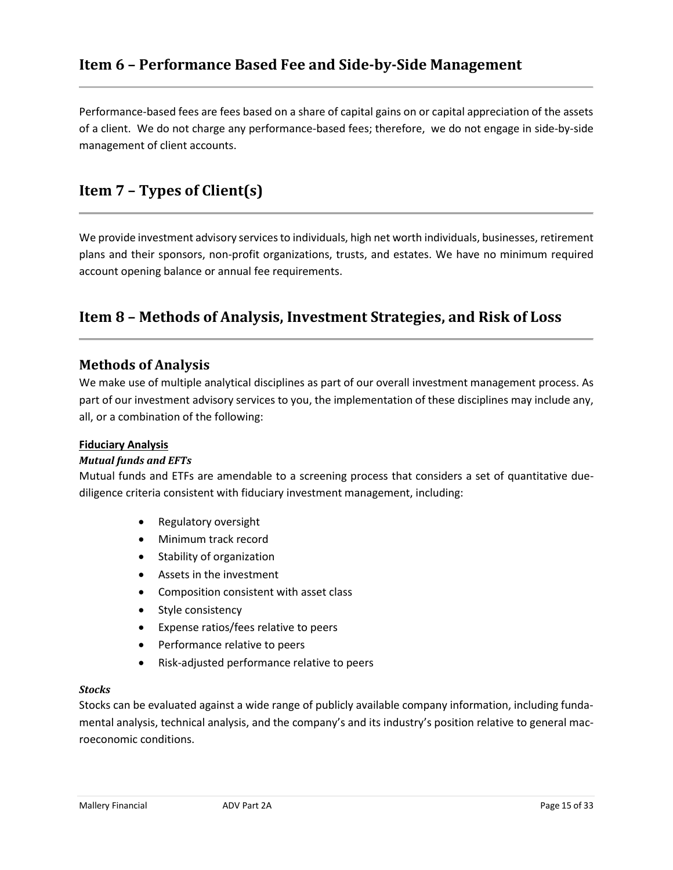### <span id="page-14-0"></span>**Item 6 – Performance Based Fee and Side-by-Side Management**

Performance-based fees are fees based on a share of capital gains on or capital appreciation of the assets of a client. We do not charge any performance-based fees; therefore, we do not engage in side-by-side management of client accounts.

### <span id="page-14-1"></span>**Item 7 – Types of Client(s)**

We provide investment advisory services to individuals, high net worth individuals, businesses, retirement plans and their sponsors, non-profit organizations, trusts, and estates. We have no minimum required account opening balance or annual fee requirements.

### <span id="page-14-2"></span>**Item 8 – Methods of Analysis, Investment Strategies, and Risk of Loss**

#### **Methods of Analysis**

We make use of multiple analytical disciplines as part of our overall investment management process. As part of our investment advisory services to you, the implementation of these disciplines may include any, all, or a combination of the following:

#### **Fiduciary Analysis**

#### *Mutual funds and EFTs*

Mutual funds and ETFs are amendable to a screening process that considers a set of quantitative duediligence criteria consistent with fiduciary investment management, including:

- Regulatory oversight
- Minimum track record
- Stability of organization
- Assets in the investment
- Composition consistent with asset class
- Style consistency
- Expense ratios/fees relative to peers
- Performance relative to peers
- Risk-adjusted performance relative to peers

#### *Stocks*

Stocks can be evaluated against a wide range of publicly available company information, including fundamental analysis, technical analysis, and the company's and its industry's position relative to general macroeconomic conditions.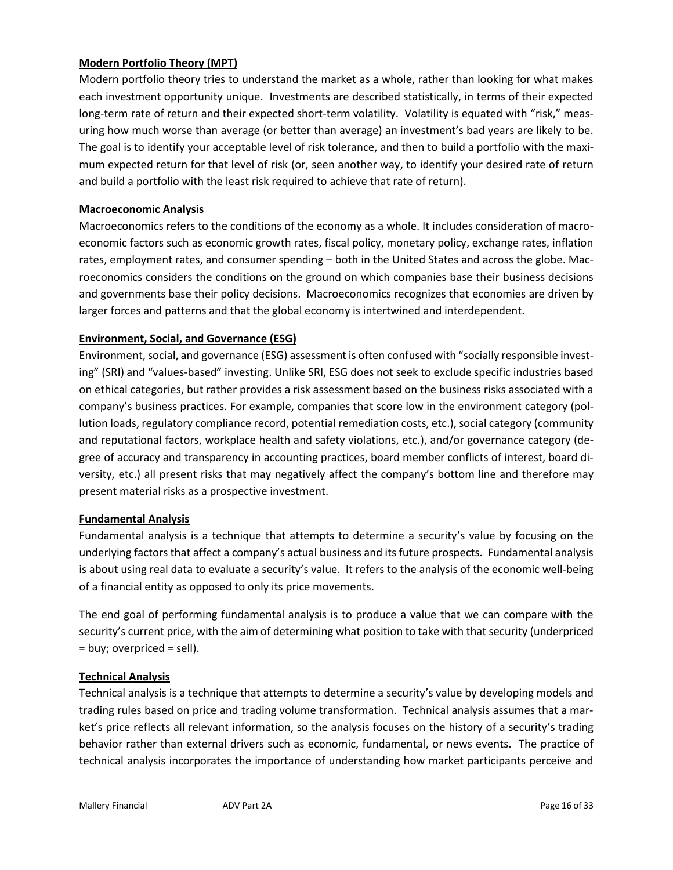#### **Modern Portfolio Theory (MPT)**

Modern portfolio theory tries to understand the market as a whole, rather than looking for what makes each investment opportunity unique. Investments are described statistically, in terms of their expected long-term rate of return and their expected short-term volatility. Volatility is equated with "risk," measuring how much worse than average (or better than average) an investment's bad years are likely to be. The goal is to identify your acceptable level of risk tolerance, and then to build a portfolio with the maximum expected return for that level of risk (or, seen another way, to identify your desired rate of return and build a portfolio with the least risk required to achieve that rate of return).

#### **Macroeconomic Analysis**

Macroeconomics refers to the conditions of the economy as a whole. It includes consideration of macroeconomic factors such as economic growth rates, fiscal policy, monetary policy, exchange rates, inflation rates, employment rates, and consumer spending – both in the United States and across the globe. Macroeconomics considers the conditions on the ground on which companies base their business decisions and governments base their policy decisions. Macroeconomics recognizes that economies are driven by larger forces and patterns and that the global economy is intertwined and interdependent.

#### **Environment, Social, and Governance (ESG)**

Environment, social, and governance (ESG) assessment is often confused with "socially responsible investing" (SRI) and "values-based" investing. Unlike SRI, ESG does not seek to exclude specific industries based on ethical categories, but rather provides a risk assessment based on the business risks associated with a company's business practices. For example, companies that score low in the environment category (pollution loads, regulatory compliance record, potential remediation costs, etc.), social category (community and reputational factors, workplace health and safety violations, etc.), and/or governance category (degree of accuracy and transparency in accounting practices, board member conflicts of interest, board diversity, etc.) all present risks that may negatively affect the company's bottom line and therefore may present material risks as a prospective investment.

#### **Fundamental Analysis**

Fundamental analysis is a technique that attempts to determine a security's value by focusing on the underlying factors that affect a company's actual business and its future prospects. Fundamental analysis is about using real data to evaluate a security's value. It refers to the analysis of the economic well-being of a financial entity as opposed to only its price movements.

The end goal of performing fundamental analysis is to produce a value that we can compare with the security's current price, with the aim of determining what position to take with that security (underpriced = buy; overpriced = sell).

#### **Technical Analysis**

Technical analysis is a technique that attempts to determine a security's value by developing models and trading rules based on price and trading volume transformation. Technical analysis assumes that a market's price reflects all relevant information, so the analysis focuses on the history of a security's trading behavior rather than external drivers such as economic, fundamental, or news events. The practice of technical analysis incorporates the importance of understanding how market participants perceive and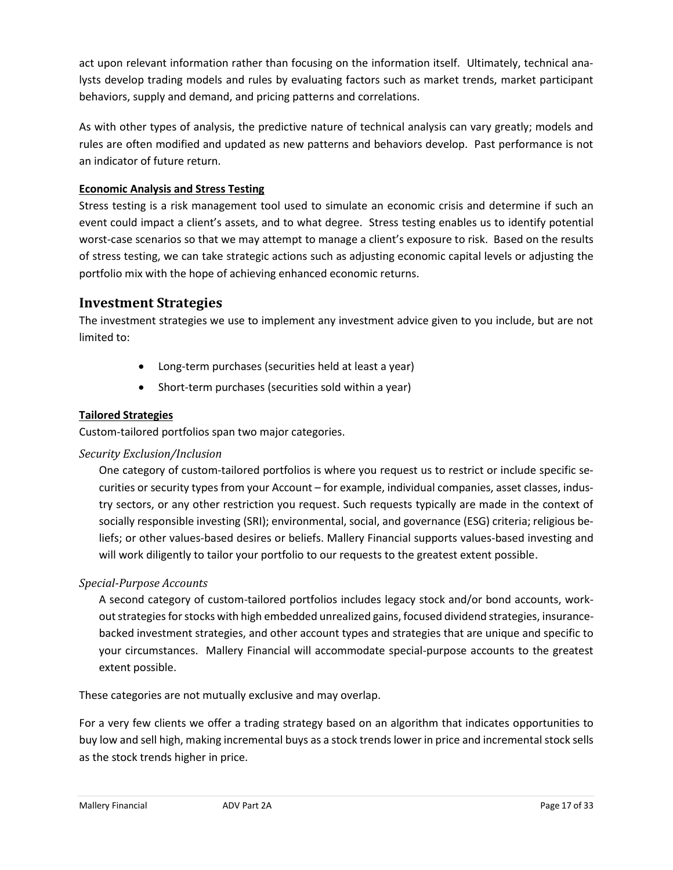act upon relevant information rather than focusing on the information itself. Ultimately, technical analysts develop trading models and rules by evaluating factors such as market trends, market participant behaviors, supply and demand, and pricing patterns and correlations.

As with other types of analysis, the predictive nature of technical analysis can vary greatly; models and rules are often modified and updated as new patterns and behaviors develop. Past performance is not an indicator of future return.

#### **Economic Analysis and Stress Testing**

Stress testing is a risk management tool used to simulate an economic crisis and determine if such an event could impact a client's assets, and to what degree. Stress testing enables us to identify potential worst-case scenarios so that we may attempt to manage a client's exposure to risk. Based on the results of stress testing, we can take strategic actions such as adjusting economic capital levels or adjusting the portfolio mix with the hope of achieving enhanced economic returns.

### **Investment Strategies**

The investment strategies we use to implement any investment advice given to you include, but are not limited to:

- Long-term purchases (securities held at least a year)
- Short-term purchases (securities sold within a year)

#### **Tailored Strategies**

Custom-tailored portfolios span two major categories.

#### *Security Exclusion/Inclusion*

One category of custom-tailored portfolios is where you request us to restrict or include specific securities or security types from your Account – for example, individual companies, asset classes, industry sectors, or any other restriction you request. Such requests typically are made in the context of socially responsible investing (SRI); environmental, social, and governance (ESG) criteria; religious beliefs; or other values-based desires or beliefs. Mallery Financial supports values-based investing and will work diligently to tailor your portfolio to our requests to the greatest extent possible.

#### *Special-Purpose Accounts*

A second category of custom-tailored portfolios includes legacy stock and/or bond accounts, workout strategies for stocks with high embedded unrealized gains, focused dividend strategies, insurancebacked investment strategies, and other account types and strategies that are unique and specific to your circumstances. Mallery Financial will accommodate special-purpose accounts to the greatest extent possible.

These categories are not mutually exclusive and may overlap.

For a very few clients we offer a trading strategy based on an algorithm that indicates opportunities to buy low and sell high, making incremental buys as a stock trends lower in price and incremental stock sells as the stock trends higher in price.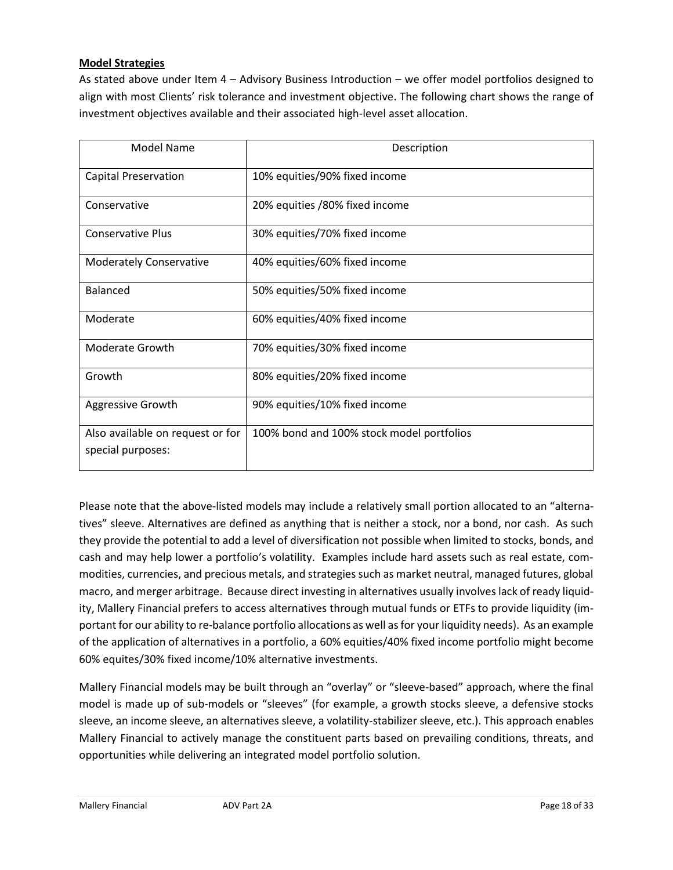#### **Model Strategies**

As stated above under Item 4 – Advisory Business Introduction – we offer model portfolios designed to align with most Clients' risk tolerance and investment objective. The following chart shows the range of investment objectives available and their associated high-level asset allocation.

| <b>Model Name</b>                                     | Description                               |
|-------------------------------------------------------|-------------------------------------------|
| <b>Capital Preservation</b>                           | 10% equities/90% fixed income             |
| Conservative                                          | 20% equities /80% fixed income            |
| <b>Conservative Plus</b>                              | 30% equities/70% fixed income             |
| <b>Moderately Conservative</b>                        | 40% equities/60% fixed income             |
| <b>Balanced</b>                                       | 50% equities/50% fixed income             |
| Moderate                                              | 60% equities/40% fixed income             |
| Moderate Growth                                       | 70% equities/30% fixed income             |
| Growth                                                | 80% equities/20% fixed income             |
| Aggressive Growth                                     | 90% equities/10% fixed income             |
| Also available on request or for<br>special purposes: | 100% bond and 100% stock model portfolios |

Please note that the above-listed models may include a relatively small portion allocated to an "alternatives" sleeve. Alternatives are defined as anything that is neither a stock, nor a bond, nor cash. As such they provide the potential to add a level of diversification not possible when limited to stocks, bonds, and cash and may help lower a portfolio's volatility. Examples include hard assets such as real estate, commodities, currencies, and precious metals, and strategies such as market neutral, managed futures, global macro, and merger arbitrage. Because direct investing in alternatives usually involves lack of ready liquidity, Mallery Financial prefers to access alternatives through mutual funds or ETFs to provide liquidity (important for our ability to re-balance portfolio allocations as well as for your liquidity needs). As an example of the application of alternatives in a portfolio, a 60% equities/40% fixed income portfolio might become 60% equites/30% fixed income/10% alternative investments.

Mallery Financial models may be built through an "overlay" or "sleeve-based" approach, where the final model is made up of sub-models or "sleeves" (for example, a growth stocks sleeve, a defensive stocks sleeve, an income sleeve, an alternatives sleeve, a volatility-stabilizer sleeve, etc.). This approach enables Mallery Financial to actively manage the constituent parts based on prevailing conditions, threats, and opportunities while delivering an integrated model portfolio solution.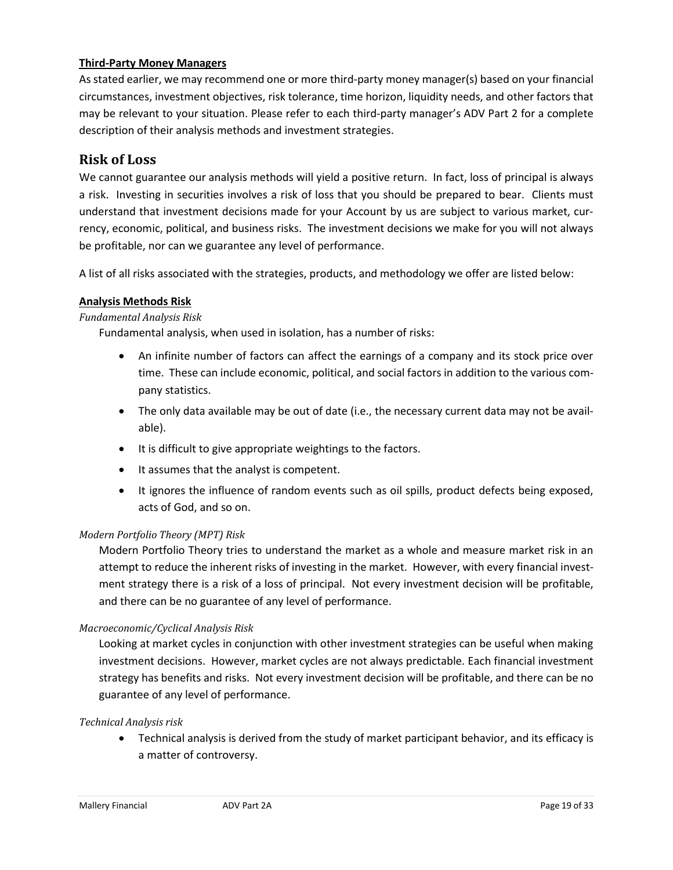#### **Third-Party Money Managers**

As stated earlier, we may recommend one or more third-party money manager(s) based on your financial circumstances, investment objectives, risk tolerance, time horizon, liquidity needs, and other factors that may be relevant to your situation. Please refer to each third-party manager's ADV Part 2 for a complete description of their analysis methods and investment strategies.

#### **Risk of Loss**

We cannot guarantee our analysis methods will yield a positive return. In fact, loss of principal is always a risk. Investing in securities involves a risk of loss that you should be prepared to bear. Clients must understand that investment decisions made for your Account by us are subject to various market, currency, economic, political, and business risks. The investment decisions we make for you will not always be profitable, nor can we guarantee any level of performance.

A list of all risks associated with the strategies, products, and methodology we offer are listed below:

#### **Analysis Methods Risk**

#### *Fundamental Analysis Risk*

Fundamental analysis, when used in isolation, has a number of risks:

- An infinite number of factors can affect the earnings of a company and its stock price over time. These can include economic, political, and social factors in addition to the various company statistics.
- The only data available may be out of date (i.e., the necessary current data may not be available).
- It is difficult to give appropriate weightings to the factors.
- It assumes that the analyst is competent.
- It ignores the influence of random events such as oil spills, product defects being exposed, acts of God, and so on.

#### *Modern Portfolio Theory (MPT) Risk*

Modern Portfolio Theory tries to understand the market as a whole and measure market risk in an attempt to reduce the inherent risks of investing in the market. However, with every financial investment strategy there is a risk of a loss of principal. Not every investment decision will be profitable, and there can be no guarantee of any level of performance.

#### *Macroeconomic/Cyclical Analysis Risk*

Looking at market cycles in conjunction with other investment strategies can be useful when making investment decisions. However, market cycles are not always predictable. Each financial investment strategy has benefits and risks. Not every investment decision will be profitable, and there can be no guarantee of any level of performance.

#### *Technical Analysis risk*

• Technical analysis is derived from the study of market participant behavior, and its efficacy is a matter of controversy.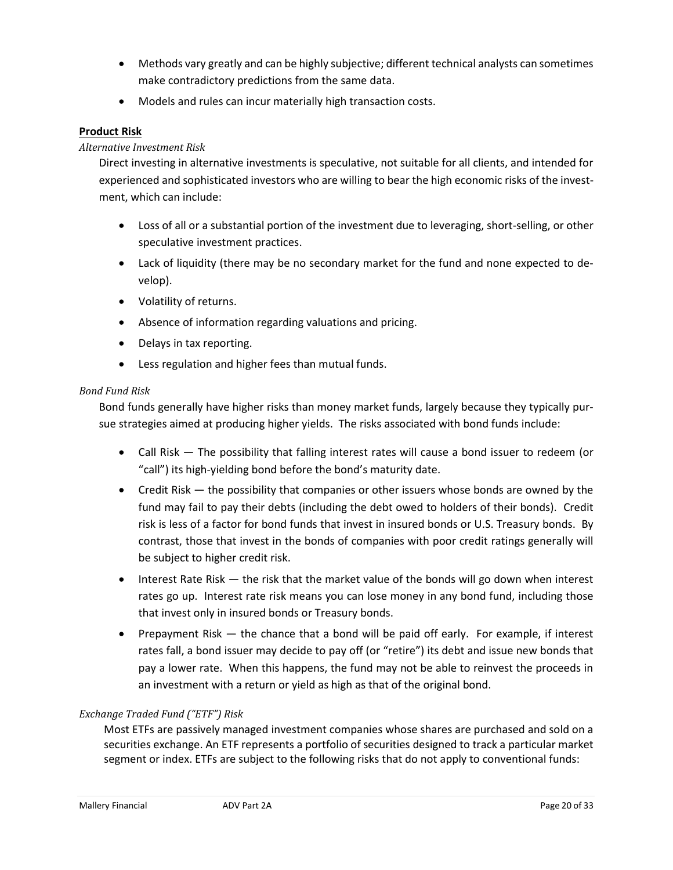- Methods vary greatly and can be highly subjective; different technical analysts can sometimes make contradictory predictions from the same data.
- Models and rules can incur materially high transaction costs.

#### **Product Risk**

#### *Alternative Investment Risk*

Direct investing in alternative investments is speculative, not suitable for all clients, and intended for experienced and sophisticated investors who are willing to bear the high economic risks of the investment, which can include:

- Loss of all or a substantial portion of the investment due to leveraging, short-selling, or other speculative investment practices.
- Lack of liquidity (there may be no secondary market for the fund and none expected to develop).
- Volatility of returns.
- Absence of information regarding valuations and pricing.
- Delays in tax reporting.
- Less regulation and higher fees than mutual funds.

#### *Bond Fund Risk*

Bond funds generally have higher risks than money market funds, largely because they typically pursue strategies aimed at producing higher yields. The risks associated with bond funds include:

- Call Risk The possibility that falling interest rates will cause a bond issuer to redeem (or "call") its high-yielding bond before the bond's maturity date.
- Credit Risk the possibility that companies or other issuers whose bonds are owned by the fund may fail to pay their debts (including the debt owed to holders of their bonds). Credit risk is less of a factor for bond funds that invest in insured bonds or U.S. Treasury bonds. By contrast, those that invest in the bonds of companies with poor credit ratings generally will be subject to higher credit risk.
- Interest Rate Risk the risk that the market value of the bonds will go down when interest rates go up. Interest rate risk means you can lose money in any bond fund, including those that invest only in insured bonds or Treasury bonds.
- Prepayment Risk the chance that a bond will be paid off early. For example, if interest rates fall, a bond issuer may decide to pay off (or "retire") its debt and issue new bonds that pay a lower rate. When this happens, the fund may not be able to reinvest the proceeds in an investment with a return or yield as high as that of the original bond.

#### *Exchange Traded Fund ("ETF") Risk*

Most ETFs are passively managed investment companies whose shares are purchased and sold on a securities exchange. An ETF represents a portfolio of securities designed to track a particular market segment or index. ETFs are subject to the following risks that do not apply to conventional funds: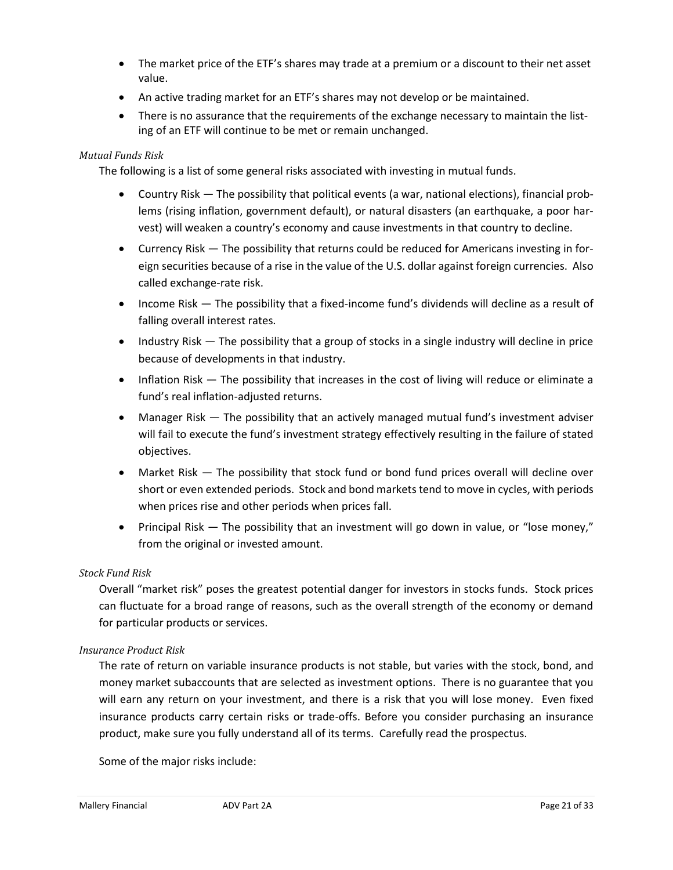- The market price of the ETF's shares may trade at a premium or a discount to their net asset value.
- An active trading market for an ETF's shares may not develop or be maintained.
- There is no assurance that the requirements of the exchange necessary to maintain the listing of an ETF will continue to be met or remain unchanged.

#### *Mutual Funds Risk*

The following is a list of some general risks associated with investing in mutual funds.

- Country Risk The possibility that political events (a war, national elections), financial problems (rising inflation, government default), or natural disasters (an earthquake, a poor harvest) will weaken a country's economy and cause investments in that country to decline.
- Currency Risk The possibility that returns could be reduced for Americans investing in foreign securities because of a rise in the value of the U.S. dollar against foreign currencies. Also called exchange-rate risk.
- Income Risk The possibility that a fixed-income fund's dividends will decline as a result of falling overall interest rates.
- Industry Risk The possibility that a group of stocks in a single industry will decline in price because of developments in that industry.
- Inflation Risk The possibility that increases in the cost of living will reduce or eliminate a fund's real inflation-adjusted returns.
- Manager Risk The possibility that an actively managed mutual fund's investment adviser will fail to execute the fund's investment strategy effectively resulting in the failure of stated objectives.
- Market Risk The possibility that stock fund or bond fund prices overall will decline over short or even extended periods. Stock and bond markets tend to move in cycles, with periods when prices rise and other periods when prices fall.
- Principal Risk The possibility that an investment will go down in value, or "lose money," from the original or invested amount.

#### *Stock Fund Risk*

Overall "market risk" poses the greatest potential danger for investors in stocks funds. Stock prices can fluctuate for a broad range of reasons, such as the overall strength of the economy or demand for particular products or services.

#### *Insurance Product Risk*

The rate of return on variable insurance products is not stable, but varies with the stock, bond, and money market subaccounts that are selected as investment options. There is no guarantee that you will earn any return on your investment, and there is a risk that you will lose money. Even fixed insurance products carry certain risks or trade-offs. Before you consider purchasing an insurance product, make sure you fully understand all of its terms. Carefully read the prospectus.

Some of the major risks include: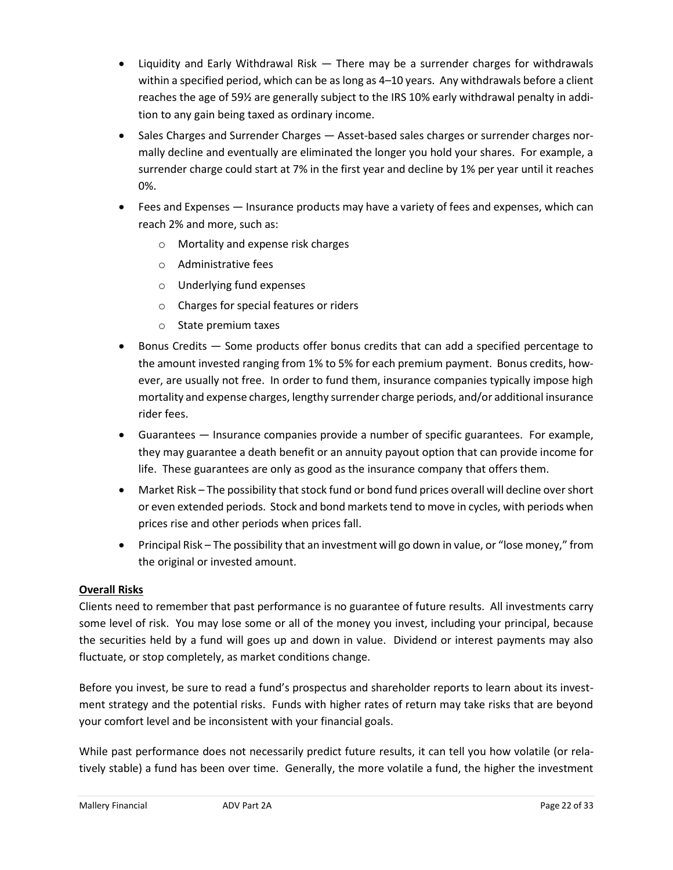- Liquidity and Early Withdrawal Risk There may be a surrender charges for withdrawals within a specified period, which can be as long as 4–10 years. Any withdrawals before a client reaches the age of 59½ are generally subject to the IRS 10% early withdrawal penalty in addition to any gain being taxed as ordinary income.
- Sales Charges and Surrender Charges Asset-based sales charges or surrender charges normally decline and eventually are eliminated the longer you hold your shares. For example, a surrender charge could start at 7% in the first year and decline by 1% per year until it reaches 0%.
- Fees and Expenses Insurance products may have a variety of fees and expenses, which can reach 2% and more, such as:
	- o Mortality and expense risk charges
	- o Administrative fees
	- o Underlying fund expenses
	- o Charges for special features or riders
	- o State premium taxes
- Bonus Credits Some products offer bonus credits that can add a specified percentage to the amount invested ranging from 1% to 5% for each premium payment. Bonus credits, however, are usually not free. In order to fund them, insurance companies typically impose high mortality and expense charges, lengthy surrender charge periods, and/or additional insurance rider fees.
- Guarantees Insurance companies provide a number of specific guarantees. For example, they may guarantee a death benefit or an annuity payout option that can provide income for life. These guarantees are only as good as the insurance company that offers them.
- Market Risk The possibility that stock fund or bond fund prices overall will decline over short or even extended periods. Stock and bond markets tend to move in cycles, with periods when prices rise and other periods when prices fall.
- Principal Risk The possibility that an investment will go down in value, or "lose money," from the original or invested amount.

#### **Overall Risks**

Clients need to remember that past performance is no guarantee of future results. All investments carry some level of risk. You may lose some or all of the money you invest, including your principal, because the securities held by a fund will goes up and down in value. Dividend or interest payments may also fluctuate, or stop completely, as market conditions change.

Before you invest, be sure to read a fund's prospectus and shareholder reports to learn about its investment strategy and the potential risks. Funds with higher rates of return may take risks that are beyond your comfort level and be inconsistent with your financial goals.

While past performance does not necessarily predict future results, it can tell you how volatile (or relatively stable) a fund has been over time. Generally, the more volatile a fund, the higher the investment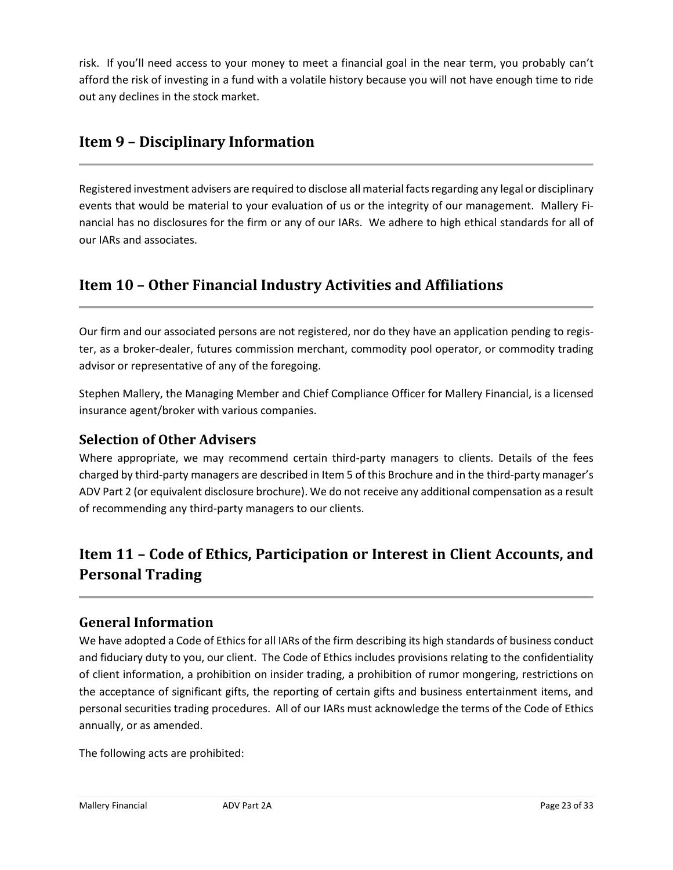risk. If you'll need access to your money to meet a financial goal in the near term, you probably can't afford the risk of investing in a fund with a volatile history because you will not have enough time to ride out any declines in the stock market.

### <span id="page-22-0"></span>**Item 9 – Disciplinary Information**

Registered investment advisers are required to disclose all material facts regarding any legal or disciplinary events that would be material to your evaluation of us or the integrity of our management. Mallery Financial has no disclosures for the firm or any of our IARs. We adhere to high ethical standards for all of our IARs and associates.

### <span id="page-22-1"></span>**Item 10 – Other Financial Industry Activities and Affiliations**

Our firm and our associated persons are not registered, nor do they have an application pending to register, as a broker-dealer, futures commission merchant, commodity pool operator, or commodity trading advisor or representative of any of the foregoing.

Stephen Mallery, the Managing Member and Chief Compliance Officer for Mallery Financial, is a licensed insurance agent/broker with various companies.

### **Selection of Other Advisers**

Where appropriate, we may recommend certain third-party managers to clients. Details of the fees charged by third-party managers are described in Item 5 of this Brochure and in the third-party manager's ADV Part 2 (or equivalent disclosure brochure). We do not receive any additional compensation as a result of recommending any third-party managers to our clients.

### <span id="page-22-2"></span>**Item 11 – Code of Ethics, Participation or Interest in Client Accounts, and Personal Trading**

### **General Information**

We have adopted a Code of Ethics for all IARs of the firm describing its high standards of business conduct and fiduciary duty to you, our client. The Code of Ethics includes provisions relating to the confidentiality of client information, a prohibition on insider trading, a prohibition of rumor mongering, restrictions on the acceptance of significant gifts, the reporting of certain gifts and business entertainment items, and personal securities trading procedures. All of our IARs must acknowledge the terms of the Code of Ethics annually, or as amended.

The following acts are prohibited: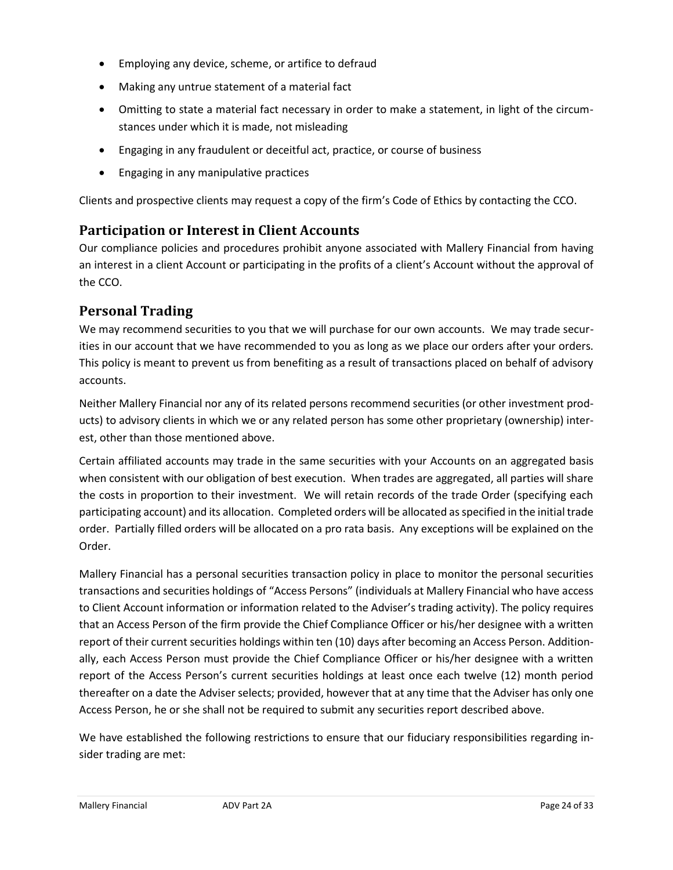- Employing any device, scheme, or artifice to defraud
- Making any untrue statement of a material fact
- Omitting to state a material fact necessary in order to make a statement, in light of the circumstances under which it is made, not misleading
- Engaging in any fraudulent or deceitful act, practice, or course of business
- Engaging in any manipulative practices

Clients and prospective clients may request a copy of the firm's Code of Ethics by contacting the CCO.

### **Participation or Interest in Client Accounts**

Our compliance policies and procedures prohibit anyone associated with Mallery Financial from having an interest in a client Account or participating in the profits of a client's Account without the approval of the CCO.

### **Personal Trading**

We may recommend securities to you that we will purchase for our own accounts. We may trade securities in our account that we have recommended to you as long as we place our orders after your orders. This policy is meant to prevent us from benefiting as a result of transactions placed on behalf of advisory accounts.

Neither Mallery Financial nor any of its related persons recommend securities (or other investment products) to advisory clients in which we or any related person has some other proprietary (ownership) interest, other than those mentioned above.

Certain affiliated accounts may trade in the same securities with your Accounts on an aggregated basis when consistent with our obligation of best execution. When trades are aggregated, all parties will share the costs in proportion to their investment. We will retain records of the trade Order (specifying each participating account) and its allocation. Completed orders will be allocated as specified in the initial trade order. Partially filled orders will be allocated on a pro rata basis. Any exceptions will be explained on the Order.

Mallery Financial has a personal securities transaction policy in place to monitor the personal securities transactions and securities holdings of "Access Persons" (individuals at Mallery Financial who have access to Client Account information or information related to the Adviser's trading activity). The policy requires that an Access Person of the firm provide the Chief Compliance Officer or his/her designee with a written report of their current securities holdings within ten (10) days after becoming an Access Person. Additionally, each Access Person must provide the Chief Compliance Officer or his/her designee with a written report of the Access Person's current securities holdings at least once each twelve (12) month period thereafter on a date the Adviser selects; provided, however that at any time that the Adviser has only one Access Person, he or she shall not be required to submit any securities report described above.

We have established the following restrictions to ensure that our fiduciary responsibilities regarding insider trading are met: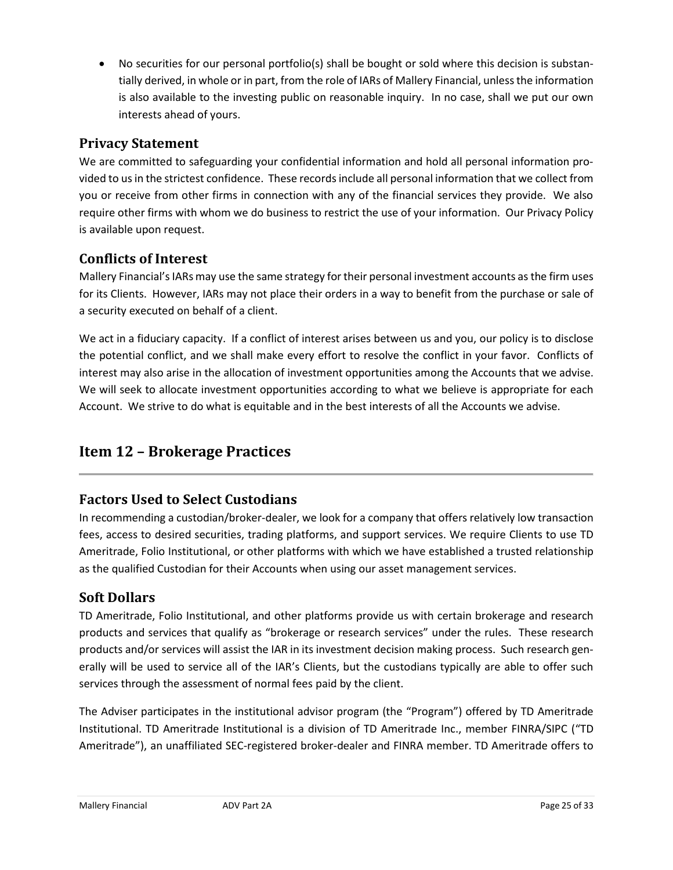• No securities for our personal portfolio(s) shall be bought or sold where this decision is substantially derived, in whole or in part, from the role of IARs of Mallery Financial, unless the information is also available to the investing public on reasonable inquiry. In no case, shall we put our own interests ahead of yours.

### **Privacy Statement**

We are committed to safeguarding your confidential information and hold all personal information provided to us in the strictest confidence. These records include all personal information that we collect from you or receive from other firms in connection with any of the financial services they provide. We also require other firms with whom we do business to restrict the use of your information. Our Privacy Policy is available upon request.

### **Conflicts of Interest**

Mallery Financial's IARs may use the same strategy for their personal investment accounts as the firm uses for its Clients. However, IARs may not place their orders in a way to benefit from the purchase or sale of a security executed on behalf of a client.

We act in a fiduciary capacity. If a conflict of interest arises between us and you, our policy is to disclose the potential conflict, and we shall make every effort to resolve the conflict in your favor. Conflicts of interest may also arise in the allocation of investment opportunities among the Accounts that we advise. We will seek to allocate investment opportunities according to what we believe is appropriate for each Account. We strive to do what is equitable and in the best interests of all the Accounts we advise.

### <span id="page-24-0"></span>**Item 12 – Brokerage Practices**

### **Factors Used to Select Custodians**

In recommending a custodian/broker-dealer, we look for a company that offers relatively low transaction fees, access to desired securities, trading platforms, and support services. We require Clients to use TD Ameritrade, Folio Institutional, or other platforms with which we have established a trusted relationship as the qualified Custodian for their Accounts when using our asset management services.

### **Soft Dollars**

TD Ameritrade, Folio Institutional, and other platforms provide us with certain brokerage and research products and services that qualify as "brokerage or research services" under the rules. These research products and/or services will assist the IAR in its investment decision making process. Such research generally will be used to service all of the IAR's Clients, but the custodians typically are able to offer such services through the assessment of normal fees paid by the client.

The Adviser participates in the institutional advisor program (the "Program") offered by TD Ameritrade Institutional. TD Ameritrade Institutional is a division of TD Ameritrade Inc., member FINRA/SIPC ("TD Ameritrade"), an unaffiliated SEC-registered broker-dealer and FINRA member. TD Ameritrade offers to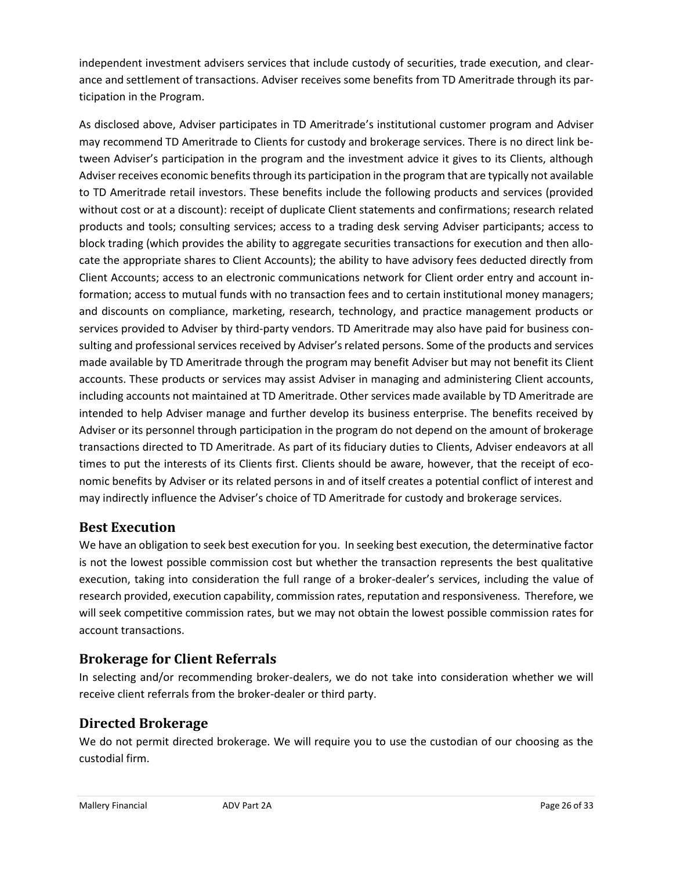independent investment advisers services that include custody of securities, trade execution, and clearance and settlement of transactions. Adviser receives some benefits from TD Ameritrade through its participation in the Program.

As disclosed above, Adviser participates in TD Ameritrade's institutional customer program and Adviser may recommend TD Ameritrade to Clients for custody and brokerage services. There is no direct link between Adviser's participation in the program and the investment advice it gives to its Clients, although Adviser receives economic benefits through its participation in the program that are typically not available to TD Ameritrade retail investors. These benefits include the following products and services (provided without cost or at a discount): receipt of duplicate Client statements and confirmations; research related products and tools; consulting services; access to a trading desk serving Adviser participants; access to block trading (which provides the ability to aggregate securities transactions for execution and then allocate the appropriate shares to Client Accounts); the ability to have advisory fees deducted directly from Client Accounts; access to an electronic communications network for Client order entry and account information; access to mutual funds with no transaction fees and to certain institutional money managers; and discounts on compliance, marketing, research, technology, and practice management products or services provided to Adviser by third-party vendors. TD Ameritrade may also have paid for business consulting and professional services received by Adviser's related persons. Some of the products and services made available by TD Ameritrade through the program may benefit Adviser but may not benefit its Client accounts. These products or services may assist Adviser in managing and administering Client accounts, including accounts not maintained at TD Ameritrade. Other services made available by TD Ameritrade are intended to help Adviser manage and further develop its business enterprise. The benefits received by Adviser or its personnel through participation in the program do not depend on the amount of brokerage transactions directed to TD Ameritrade. As part of its fiduciary duties to Clients, Adviser endeavors at all times to put the interests of its Clients first. Clients should be aware, however, that the receipt of economic benefits by Adviser or its related persons in and of itself creates a potential conflict of interest and may indirectly influence the Adviser's choice of TD Ameritrade for custody and brokerage services.

### **Best Execution**

We have an obligation to seek best execution for you. In seeking best execution, the determinative factor is not the lowest possible commission cost but whether the transaction represents the best qualitative execution, taking into consideration the full range of a broker-dealer's services, including the value of research provided, execution capability, commission rates, reputation and responsiveness. Therefore, we will seek competitive commission rates, but we may not obtain the lowest possible commission rates for account transactions.

### **Brokerage for Client Referrals**

In selecting and/or recommending broker-dealers, we do not take into consideration whether we will receive client referrals from the broker-dealer or third party.

### **Directed Brokerage**

We do not permit directed brokerage. We will require you to use the custodian of our choosing as the custodial firm.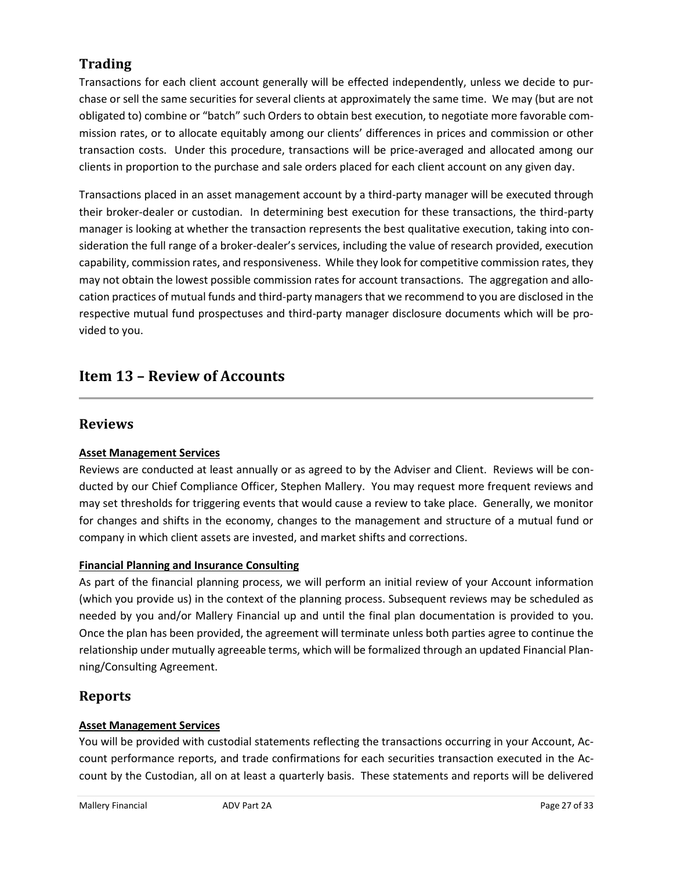### **Trading**

Transactions for each client account generally will be effected independently, unless we decide to purchase or sell the same securities for several clients at approximately the same time. We may (but are not obligated to) combine or "batch" such Orders to obtain best execution, to negotiate more favorable commission rates, or to allocate equitably among our clients' differences in prices and commission or other transaction costs. Under this procedure, transactions will be price-averaged and allocated among our clients in proportion to the purchase and sale orders placed for each client account on any given day.

Transactions placed in an asset management account by a third-party manager will be executed through their broker-dealer or custodian. In determining best execution for these transactions, the third-party manager is looking at whether the transaction represents the best qualitative execution, taking into consideration the full range of a broker-dealer's services, including the value of research provided, execution capability, commission rates, and responsiveness. While they look for competitive commission rates, they may not obtain the lowest possible commission rates for account transactions. The aggregation and allocation practices of mutual funds and third-party managers that we recommend to you are disclosed in the respective mutual fund prospectuses and third-party manager disclosure documents which will be provided to you.

### <span id="page-26-0"></span>**Item 13 – Review of Accounts**

### **Reviews**

#### **Asset Management Services**

Reviews are conducted at least annually or as agreed to by the Adviser and Client. Reviews will be conducted by our Chief Compliance Officer, Stephen Mallery. You may request more frequent reviews and may set thresholds for triggering events that would cause a review to take place. Generally, we monitor for changes and shifts in the economy, changes to the management and structure of a mutual fund or company in which client assets are invested, and market shifts and corrections.

#### **Financial Planning and Insurance Consulting**

As part of the financial planning process, we will perform an initial review of your Account information (which you provide us) in the context of the planning process. Subsequent reviews may be scheduled as needed by you and/or Mallery Financial up and until the final plan documentation is provided to you. Once the plan has been provided, the agreement will terminate unless both parties agree to continue the relationship under mutually agreeable terms, which will be formalized through an updated Financial Planning/Consulting Agreement.

### **Reports**

#### **Asset Management Services**

You will be provided with custodial statements reflecting the transactions occurring in your Account, Account performance reports, and trade confirmations for each securities transaction executed in the Account by the Custodian, all on at least a quarterly basis. These statements and reports will be delivered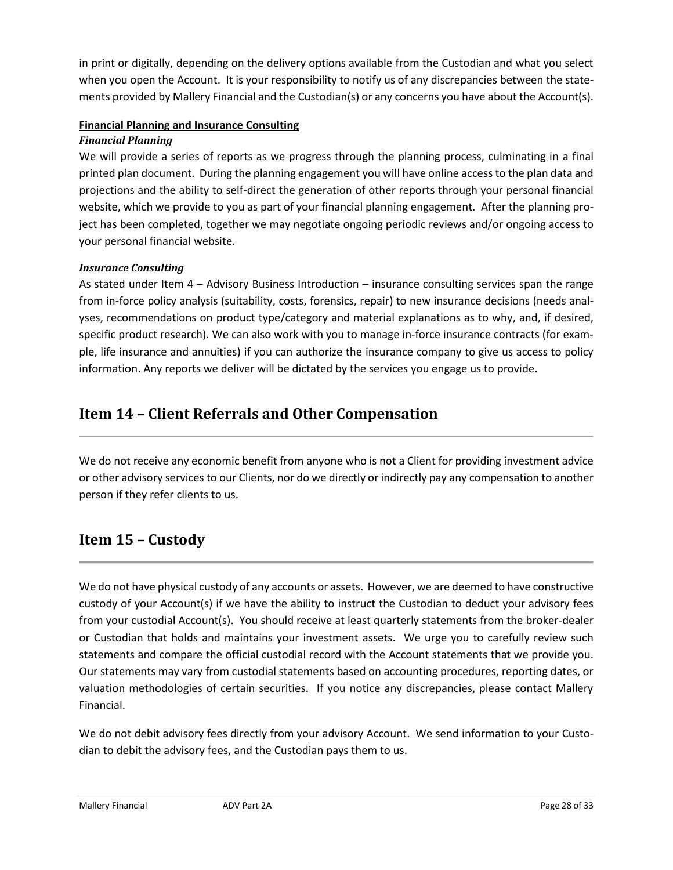in print or digitally, depending on the delivery options available from the Custodian and what you select when you open the Account. It is your responsibility to notify us of any discrepancies between the statements provided by Mallery Financial and the Custodian(s) or any concerns you have about the Account(s).

#### **Financial Planning and Insurance Consulting**

#### *Financial Planning*

We will provide a series of reports as we progress through the planning process, culminating in a final printed plan document. During the planning engagement you will have online access to the plan data and projections and the ability to self-direct the generation of other reports through your personal financial website, which we provide to you as part of your financial planning engagement. After the planning project has been completed, together we may negotiate ongoing periodic reviews and/or ongoing access to your personal financial website.

#### *Insurance Consulting*

As stated under Item 4 – Advisory Business Introduction – insurance consulting services span the range from in-force policy analysis (suitability, costs, forensics, repair) to new insurance decisions (needs analyses, recommendations on product type/category and material explanations as to why, and, if desired, specific product research). We can also work with you to manage in-force insurance contracts (for example, life insurance and annuities) if you can authorize the insurance company to give us access to policy information. Any reports we deliver will be dictated by the services you engage us to provide.

### <span id="page-27-0"></span>**Item 14 – Client Referrals and Other Compensation**

We do not receive any economic benefit from anyone who is not a Client for providing investment advice or other advisory services to our Clients, nor do we directly or indirectly pay any compensation to another person if they refer clients to us.

### <span id="page-27-1"></span>**Item 15 – Custody**

We do not have physical custody of any accounts or assets. However, we are deemed to have constructive custody of your Account(s) if we have the ability to instruct the Custodian to deduct your advisory fees from your custodial Account(s). You should receive at least quarterly statements from the broker-dealer or Custodian that holds and maintains your investment assets. We urge you to carefully review such statements and compare the official custodial record with the Account statements that we provide you. Our statements may vary from custodial statements based on accounting procedures, reporting dates, or valuation methodologies of certain securities. If you notice any discrepancies, please contact Mallery Financial.

We do not debit advisory fees directly from your advisory Account. We send information to your Custodian to debit the advisory fees, and the Custodian pays them to us.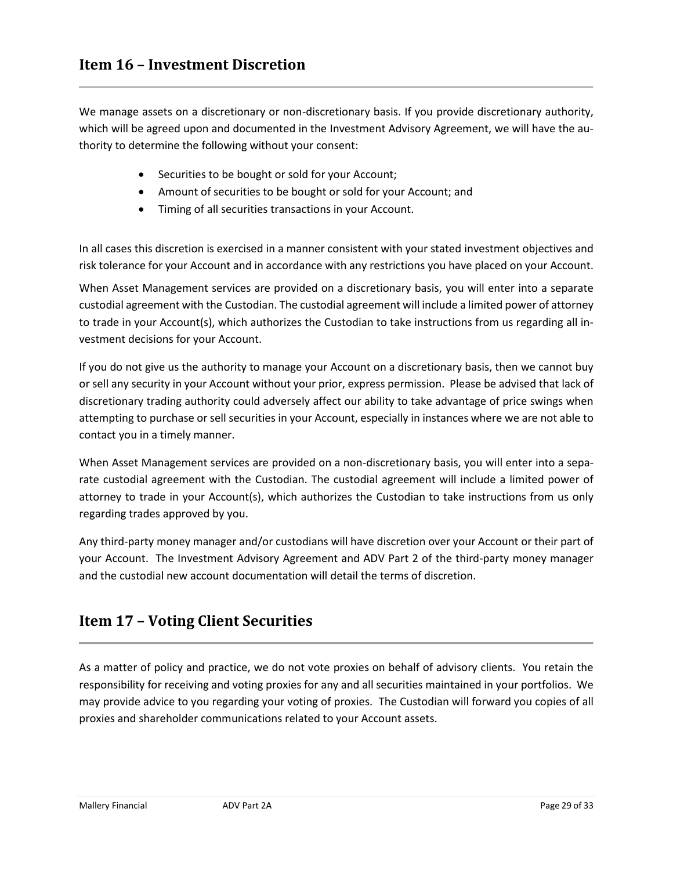<span id="page-28-0"></span>We manage assets on a discretionary or non-discretionary basis. If you provide discretionary authority, which will be agreed upon and documented in the Investment Advisory Agreement, we will have the authority to determine the following without your consent:

- Securities to be bought or sold for your Account;
- Amount of securities to be bought or sold for your Account; and
- Timing of all securities transactions in your Account.

In all cases this discretion is exercised in a manner consistent with your stated investment objectives and risk tolerance for your Account and in accordance with any restrictions you have placed on your Account.

When Asset Management services are provided on a discretionary basis, you will enter into a separate custodial agreement with the Custodian. The custodial agreement will include a limited power of attorney to trade in your Account(s), which authorizes the Custodian to take instructions from us regarding all investment decisions for your Account.

If you do not give us the authority to manage your Account on a discretionary basis, then we cannot buy or sell any security in your Account without your prior, express permission. Please be advised that lack of discretionary trading authority could adversely affect our ability to take advantage of price swings when attempting to purchase or sell securities in your Account, especially in instances where we are not able to contact you in a timely manner.

When Asset Management services are provided on a non-discretionary basis, you will enter into a separate custodial agreement with the Custodian. The custodial agreement will include a limited power of attorney to trade in your Account(s), which authorizes the Custodian to take instructions from us only regarding trades approved by you.

Any third-party money manager and/or custodians will have discretion over your Account or their part of your Account. The Investment Advisory Agreement and ADV Part 2 of the third-party money manager and the custodial new account documentation will detail the terms of discretion.

### <span id="page-28-1"></span>**Item 17 – Voting Client Securities**

As a matter of policy and practice, we do not vote proxies on behalf of advisory clients. You retain the responsibility for receiving and voting proxies for any and all securities maintained in your portfolios. We may provide advice to you regarding your voting of proxies. The Custodian will forward you copies of all proxies and shareholder communications related to your Account assets.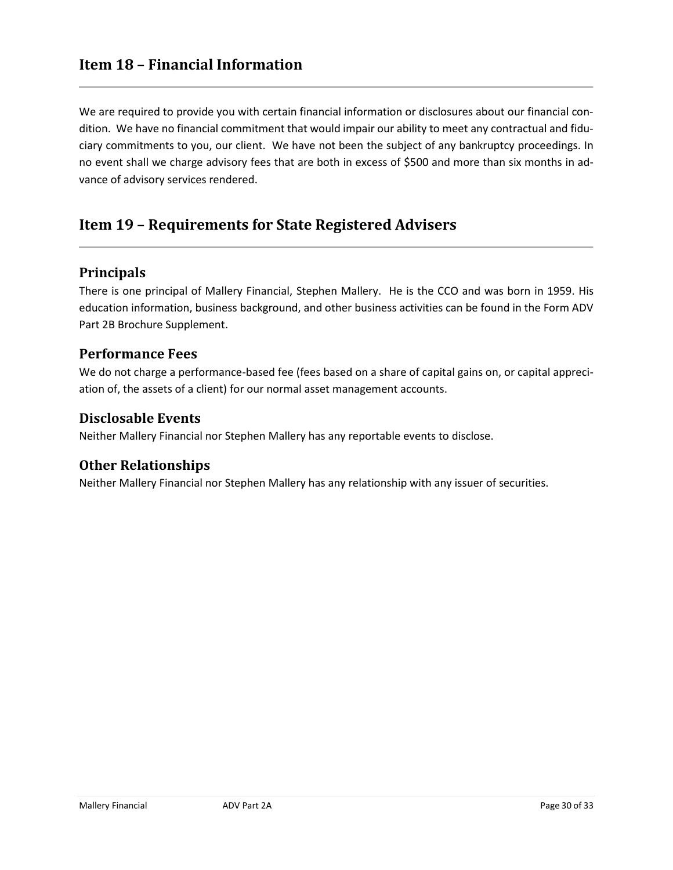<span id="page-29-0"></span>We are required to provide you with certain financial information or disclosures about our financial condition. We have no financial commitment that would impair our ability to meet any contractual and fiduciary commitments to you, our client. We have not been the subject of any bankruptcy proceedings. In no event shall we charge advisory fees that are both in excess of \$500 and more than six months in advance of advisory services rendered.

### <span id="page-29-1"></span>**Item 19 – Requirements for State Registered Advisers**

#### **Principals**

There is one principal of Mallery Financial, Stephen Mallery. He is the CCO and was born in 1959. His education information, business background, and other business activities can be found in the Form ADV Part 2B Brochure Supplement.

#### **Performance Fees**

We do not charge a performance-based fee (fees based on a share of capital gains on, or capital appreciation of, the assets of a client) for our normal asset management accounts.

#### **Disclosable Events**

Neither Mallery Financial nor Stephen Mallery has any reportable events to disclose.

#### **Other Relationships**

Neither Mallery Financial nor Stephen Mallery has any relationship with any issuer of securities.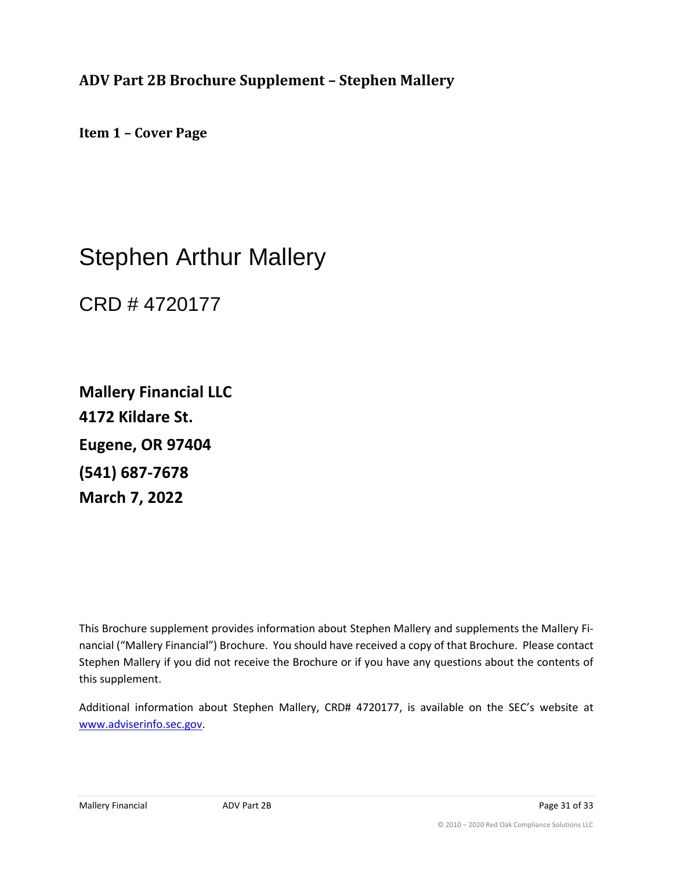<span id="page-30-0"></span>**ADV Part 2B Brochure Supplement – Stephen Mallery**

**Item 1 – Cover Page**

## Stephen Arthur Mallery

CRD # 4720177

**Mallery Financial LLC 4172 Kildare St. Eugene, OR 97404 (541) 687-7678 March 7, 2022**

This Brochure supplement provides information about Stephen Mallery and supplements the Mallery Financial ("Mallery Financial") Brochure. You should have received a copy of that Brochure. Please contact Stephen Mallery if you did not receive the Brochure or if you have any questions about the contents of this supplement.

Additional information about Stephen Mallery, CRD# 4720177, is available on the SEC's website at [www.adviserinfo.sec.gov.](http://www.adviserinfo.sec.gov/)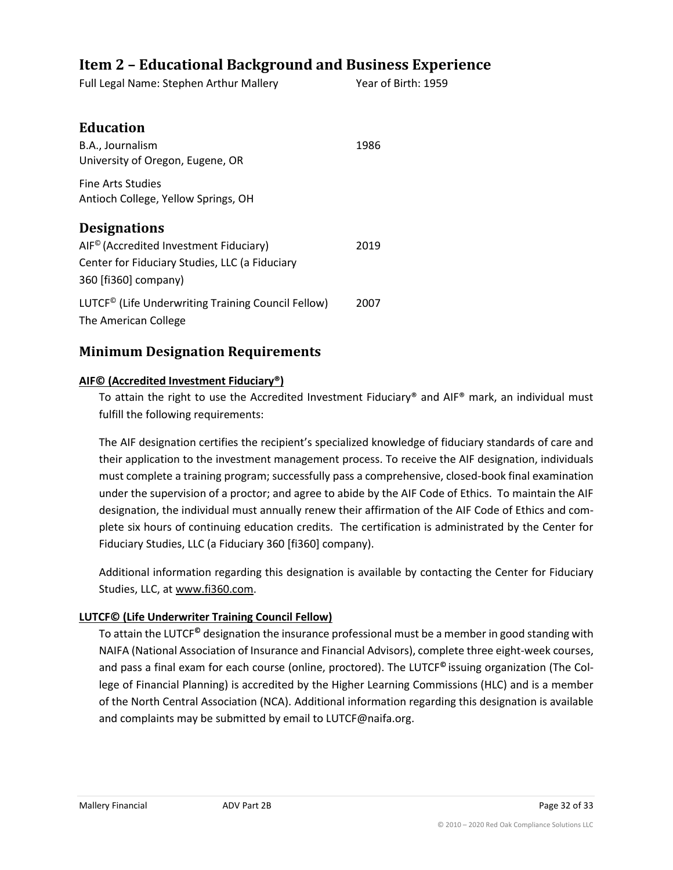### <span id="page-31-0"></span>**Item 2 – Educational Background and Business Experience**

Full Legal Name: Stephen Arthur Mallery Year of Birth: 1959

| <b>Education</b>                                                                       |      |
|----------------------------------------------------------------------------------------|------|
| B.A., Journalism                                                                       | 1986 |
| University of Oregon, Eugene, OR                                                       |      |
| Fine Arts Studies                                                                      |      |
| Antioch College, Yellow Springs, OH                                                    |      |
| <b>Designations</b>                                                                    |      |
| AIF <sup>©</sup> (Accredited Investment Fiduciary)                                     | 2019 |
| Center for Fiduciary Studies, LLC (a Fiduciary                                         |      |
| 360 [fi360] company)                                                                   |      |
| LUTCF <sup>©</sup> (Life Underwriting Training Council Fellow)<br>The American College | 2007 |

### **Minimum Designation Requirements**

#### **AIF© (Accredited Investment Fiduciary®)**

To attain the right to use the Accredited Investment Fiduciary® and AIF® mark, an individual must fulfill the following requirements:

The AIF designation certifies the recipient's specialized knowledge of fiduciary standards of care and their application to the investment management process. To receive the AIF designation, individuals must complete a training program; successfully pass a comprehensive, closed-book final examination under the supervision of a proctor; and agree to abide by the AIF Code of Ethics. To maintain the AIF designation, the individual must annually renew their affirmation of the AIF Code of Ethics and complete six hours of continuing education credits. The certification is administrated by the Center for Fiduciary Studies, LLC (a Fiduciary 360 [fi360] company).

Additional information regarding this designation is available by contacting the Center for Fiduciary Studies, LLC, a[t www.fi360.com.](http://www.fi360.com/)

#### **LUTCF© (Life Underwriter Training Council Fellow)**

To attain the LUTCF**©** designation the insurance professional must be a member in good standing with NAIFA (National Association of Insurance and Financial Advisors), complete three eight-week courses, and pass a final exam for each course (online, proctored). The LUTCF**©** issuing organization (The College of Financial Planning) is accredited by the Higher Learning Commissions (HLC) and is a member of the North Central Association (NCA). Additional information regarding this designation is available and complaints may be submitted by email to LUTCF@naifa.org.